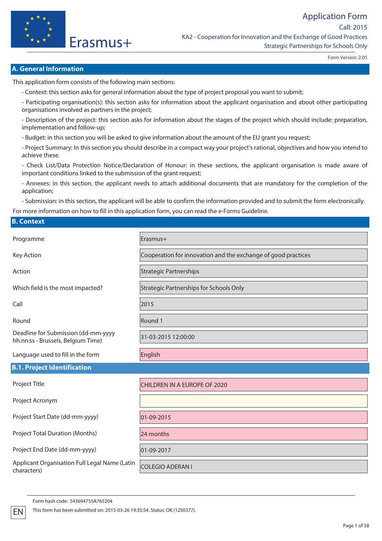

### **A. General Information**

This application form consists of the following main sections:

- Context: this section asks for general information about the type of project proposal you want to submit;

- Participating organisation(s): this section asks for information about the applicant organisation and about other participating organisations involved as partners in the project;

- Description of the project: this section asks for information about the stages of the project which should include: preparation, implementation and follow-up;

- Budget: in this section you will be asked to give information about the amount of the EU grant you request;

- Project Summary: In this section you should describe in a compact way your project's rational, objectives and how you intend to achieve these.

- Check List/Data Protection Notice/Declaration of Honour: in these sections, the applicant organisation is made aware of important conditions linked to the submission of the grant request;

- Annexes: in this section, the applicant needs to attach additional documents that are mandatory for the completion of the application;

- Submission: in this section, the applicant will be able to confirm the information provided and to submit the form electronically.

For more information on how to fill in this application form, you can read the e-Forms Guideline.

### **B. Context**

| Programme                                                                 | Erasmus+                                                      |
|---------------------------------------------------------------------------|---------------------------------------------------------------|
| Key Action                                                                | Cooperation for innovation and the exchange of good practices |
| Action                                                                    | Strategic Partnerships                                        |
| Which field is the most impacted?                                         | Strategic Partnerships for Schools Only                       |
| Call                                                                      | 2015                                                          |
| Round                                                                     | Round 1                                                       |
| Deadline for Submission (dd-mm-yyyy<br>hh:nn:ss - Brussels, Belgium Time) | 31-03-2015 12:00:00                                           |
| Language used to fill in the form                                         | English                                                       |
| <b>B.1. Project Identification</b>                                        |                                                               |
| Project Title                                                             | CHILDREN IN A EUROPE OF 2020                                  |
| Project Acronym                                                           |                                                               |
| Project Start Date (dd-mm-yyyy)                                           | 01-09-2015                                                    |
| <b>Project Total Duration (Months)</b>                                    | 24 months                                                     |
| Project End Date (dd-mm-yyyy)                                             | 01-09-2017                                                    |
| Applicant Organisation Full Legal Name (Latin<br>characters)              | <b>COLEGIO ADERAN I</b>                                       |

Form hash code: 543694755A765204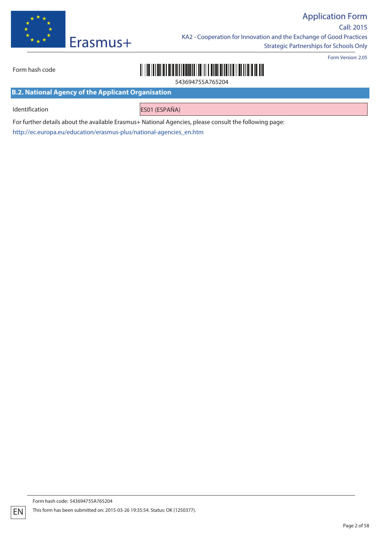

Form Version: 2.05

Application Form

# 

543694755A765204

# **B.2. National Agency of the Applicant Organisation**

Identification ES01 (ESPAÑA)

Form hash code

For further details about the available Erasmus+ National Agencies, please consult the following page: http://ec.europa.eu/education/erasmus-plus/national-agencies\_en.htm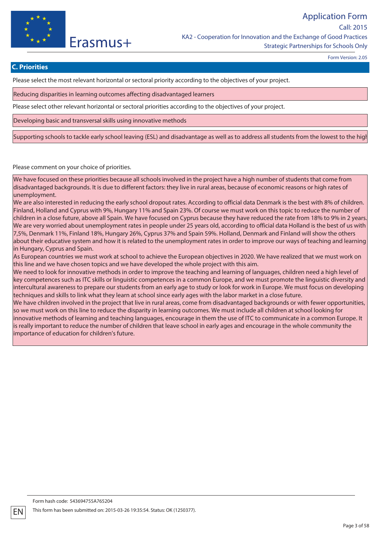

Form Version: 2.05

Application Form

# **C. Priorities**

Please select the most relevant horizontal or sectoral priority according to the objectives of your project.

Reducing disparities in learning outcomes affecting disadvantaged learners

Please select other relevant horizontal or sectoral priorities according to the objectives of your project.

Developing basic and transversal skills using innovative methods

Supporting schools to tackle early school leaving (ESL) and disadvantage as well as to address all students from the lowest to the high

Please comment on your choice of priorities.

We have focused on these priorities because all schools involved in the project have a high number of students that come from disadvantaged backgrounds. It is due to different factors: they live in rural areas, because of economic reasons or high rates of unemployment.

We are also interested in reducing the early school dropout rates. According to official data Denmark is the best with 8% of children. Finland, Holland and Cyprus with 9%, Hungary 11% and Spain 23%. Of course we must work on this topic to reduce the number of children in a close future, above all Spain. We have focused on Cyprus because they have reduced the rate from 18% to 9% in 2 years. We are very worried about unemployment rates in people under 25 years old, according to official data Holland is the best of us with 7,5%, Denmark 11%, Finland 18%, Hungary 26%, Cyprus 37% and Spain 59%. Holland, Denmark and Finland will show the others about their educative system and how it is related to the unemployment rates in order to improve our ways of teaching and learning in Hungary, Cyprus and Spain.

As European countries we must work at school to achieve the European objectives in 2020. We have realized that we must work on this line and we have chosen topics and we have developed the whole project with this aim.

We need to look for innovative methods in order to improve the teaching and learning of languages, children need a high level of key competences such as ITC skills or linguistic competences in a common Europe, and we must promote the linguistic diversity and intercultural awareness to prepare our students from an early age to study or look for work in Europe. We must focus on developing techniques and skills to link what they learn at school since early ages with the labor market in a close future.

We have children involved in the project that live in rural areas, come from disadvantaged backgrounds or with fewer opportunities, so we must work on this line to reduce the disparity in learning outcomes. We must include all children at school looking for innovative methods of learning and teaching languages, encourage in them the use of ITC to communicate in a common Europe. It is really important to reduce the number of children that leave school in early ages and encourage in the whole community the importance of education for children's future.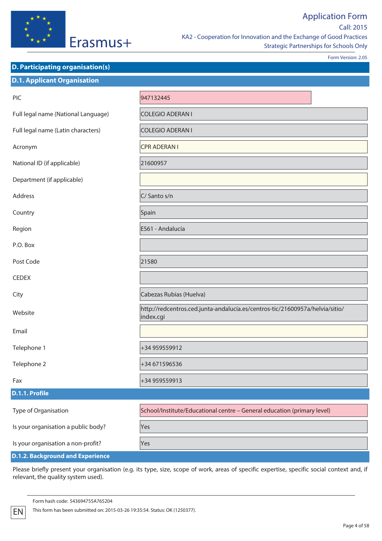

Form Version: 2.05

Application Form

| <b>D. Participating organisation(s)</b> |                                                                                           |
|-----------------------------------------|-------------------------------------------------------------------------------------------|
| <b>D.1. Applicant Organisation</b>      |                                                                                           |
| PIC                                     | 947132445                                                                                 |
| Full legal name (National Language)     | <b>COLEGIO ADERAN I</b>                                                                   |
| Full legal name (Latin characters)      | <b>COLEGIO ADERAN I</b>                                                                   |
| Acronym                                 | <b>CPR ADERAN I</b>                                                                       |
| National ID (if applicable)             | 21600957                                                                                  |
| Department (if applicable)              |                                                                                           |
| Address                                 | C/Santo s/n                                                                               |
| Country                                 | Spain                                                                                     |
| Region                                  | ES61 - Andalucía                                                                          |
| P.O. Box                                |                                                                                           |
| Post Code                               | 21580                                                                                     |
| <b>CEDEX</b>                            |                                                                                           |
| City                                    | Cabezas Rubias (Huelva)                                                                   |
| Website                                 | http://redcentros.ced.junta-andalucia.es/centros-tic/21600957a/helvia/sitio/<br>index.cgi |
| Email                                   |                                                                                           |
| Telephone 1                             | +34 959559912                                                                             |
| Telephone 2                             | +34 671596536                                                                             |
| Fax                                     | +34 959559913                                                                             |
| D.1.1. Profile                          |                                                                                           |
| Type of Organisation                    | School/Institute/Educational centre - General education (primary level)                   |
| Is your organisation a public body?     | Yes                                                                                       |
| Is your organisation a non-profit?      | Yes                                                                                       |
| <b>D.1.2. Background and Experience</b> |                                                                                           |

Please briefly present your organisation (e.g. its type, size, scope of work, areas of specific expertise, specific social context and, if relevant, the quality system used).

Form hash code: 543694755A765204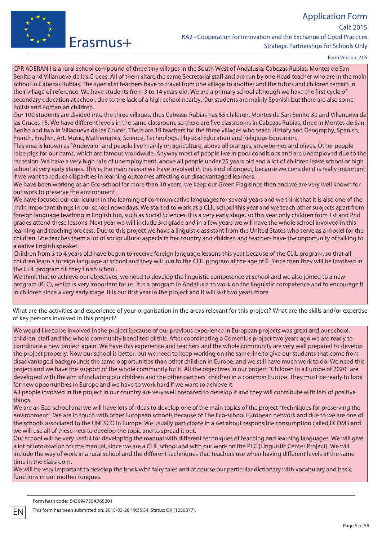

Erasmus+

Call: 2015 KA2 - Cooperation for Innovation and the Exchange of Good Practices Strategic Partnerships for Schools Only

Form Version: 2.05

CPR ADERAN I is a rural school compound of three tiny villages in the South West of Andalusia: Cabezas Rubias, Montes de San Benito and Villanueva de las Cruces. All of them share the same Secretarial staff and are run by one Head teacher who are in the main school in Cabezas Rubias. The specialist teachers have to travel from one village to another and the tutors and children remain in their village of reference. We have students from 3 to 14 years old. We are a primary school although we have the first cycle of secondary education at school, due to the lack of a high school nearby. Our students are mainly Spanish but there are also some Polish and Romanian children.

Our 100 students are divided into the three villages, thus Cabezas Rubias has 55 children, Montes de San Benito 30 and Villanueva de las Cruces 15. We have different levels in the same classroom, so there are five classrooms in Cabezas Rubias, three in Montes de San Benito and two in Villanueva de las Cruces. There are 19 teachers for the three villages who teach History and Geography, Spanish, French, English, Art, Music, Mathematics, Science, Technology, Physical Education and Religious Education.

This area is known as "Andévalo" and people live mainly on agriculture, above all oranges, strawberries and olives. Other people raise pigs for our hams, which are famous worldwide. Anyway most of people live in poor conditions and are unemployed due to the recession. We have a very high rate of unemployment, above all people under 25 years old and a lot of children leave school or high school at very early stages. This is the main reason we have involved in this kind of project, because we consider it is really important if we want to reduce disparities in learning outcomes affecting our disadvantaged learners.

We have been working as an Eco-school for more than 10 years, we keep our Green Flag since then and we are very well known for our work to preserve the environment.

We have focused our curriculum in the learning of communicative languages for several years and we think that it is also one of the main important things in our school nowadays. We started to work as a CLIL school this year and we teach other subjects apart from foreign language teaching in English too, such as Social Sciences. It is a very early stage, so this year only children from 1st and 2nd grades attend these lessons. Next year we will include 3rd grade and in a few years we will have the whole school involved in this learning and teaching process. Due to this project we have a linguistic assistant from the United States who serve as a model for the children. She teaches them a lot of sociocultural aspects in her country and children and teachers have the opportunity of talking to a native English speaker.

Children from 3 to 4 years old have begun to receive foreign language lessons this year because of the CLIL program, so that all children learn a foreign language at school and they will join to the CLIL program at the age of 6. Since then they will be involved in the CLIL program till they finish school.

We think that to achieve our objectives, we need to develop the linguistic competence at school and we also joined to a new program (PLC), which is very important for us. It is a program in Andalusia to work on the linguistic competence and to encourage it in children since a very early stage. It is our first year in the project and it will last two years more.

What are the activities and experience of your organisation in the areas relevant for this project? What are the skills and/or expertise of key persons involved in this project?

We would like to be involved in the project because of our previous experience in European projects was great and our school, children, staff and the whole community benefited of this. After coordinating a Comenius project two years ago we are ready to coordinate a new project again. We have this experience and teachers and the whole community are very well prepared to develop the project properly. Now our school is better, but we need to keep working on the same line to give our students that come from disadvantaged backgrounds the same opportunities than other children in Europe, and we still have much work to do. We need this project and we have the support of the whole community for it. All the objectives in our project "Children in a Europe of 2020" are developed with the aim of including our children and the other partners' children in a common Europe. They must be ready to look for new opportunities in Europe and we have to work hard if we want to achieve it.

All people involved in the project in our country are very well prepared to develop it and they will contribute with lots of positive things.

We are an Eco-school and we will have lots of ideas to develop one of the main topics of the project "techniques for preserving the environment". We are in touch with other European schools because of The Eco-school European network and due to we are one of the schools associated to the UNESCO in Europe. We usually participate in a net about responsible consumption called ECOMS and we will use all of these nets to develop the topic and to spread it out.

Our school will be very useful for developing the manual with different techniques of teaching and learning languages. We will give a lot of information for the manual, since we are a CLIL school and with our work on the PLC (Linguistic Center Project). We will include the way of work in a rural school and the different techniques that teachers use when having different levels at the same time in the classroom.

We will be very important to develop the book with fairy tales and of course our particular dictionary with vocabulary and basic functions in our mother tongues.

Form hash code: 543694755A765204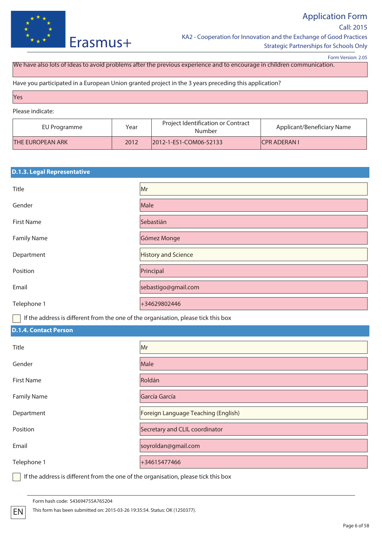# Erasmus+

# Application Form

Call: 2015

KA2 - Cooperation for Innovation and the Exchange of Good Practices Strategic Partnerships for Schools Only

Form Version: 2.05

#### We have also lots of ideas to avoid problems after the previous experience and to encourage in children communication.

Have you participated in a European Union granted project in the 3 years preceding this application?

| Yes                             |                                    |                                 |
|---------------------------------|------------------------------------|---------------------------------|
| Please indicate:                |                                    |                                 |
| the contract of the contract of | Project Identification or Contract | the contract of the contract of |

| EU Programme            | Year | <b>Project Identification or Contract</b><br>Number | Applicant/Beneficiary Name |
|-------------------------|------|-----------------------------------------------------|----------------------------|
| <b>THE EUROPEAN ARK</b> | 2012 | 2012-1-ES1-COM06-52133                              | <b>ICPR ADERAN I</b>       |

#### **D.1.3. Legal Representative**

| Title              | Mr                         |
|--------------------|----------------------------|
| Gender             | Male                       |
| <b>First Name</b>  | Sebastián                  |
| <b>Family Name</b> | Gómez Monge                |
| Department         | <b>History and Science</b> |
| Position           | Principal                  |
| Email              | sebastigo@gmail.com        |
| Telephone 1        | +34629802446               |

If the address is different from the one of the organisation, please tick this box

# **D.1.4. Contact Person** Title **Mr. And Article** Gender Male First Name **Roldán** Family Name García García García García García Department **Foreign Language Teaching (English)** Position **Secretary and CLIL coordinator** Secretary and CLIL coordinator Email soyroldan@gmail.com Telephone 1 +34615477466

If the address is different from the one of the organisation, please tick this box

Form hash code: 543694755A765204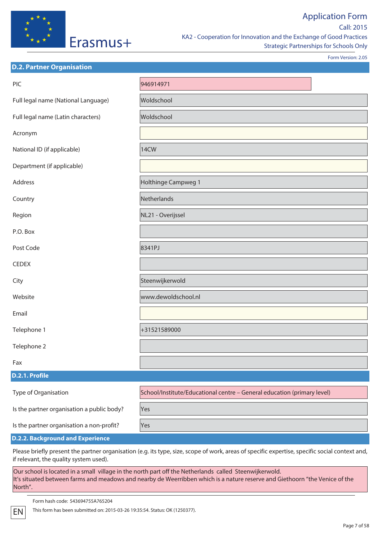

#### Form Version: 2.05

Application Form

|  | <b>D.2. Partner Organisation</b> |
|--|----------------------------------|
|  |                                  |

| PIC                                        | 946914971                                                               |
|--------------------------------------------|-------------------------------------------------------------------------|
| Full legal name (National Language)        | Woldschool                                                              |
| Full legal name (Latin characters)         | Woldschool                                                              |
| Acronym                                    |                                                                         |
| National ID (if applicable)                | 14CW                                                                    |
| Department (if applicable)                 |                                                                         |
| Address                                    | Holthinge Campweg 1                                                     |
| Country                                    | Netherlands                                                             |
| Region                                     | NL21 - Overijssel                                                       |
| P.O. Box                                   |                                                                         |
| Post Code                                  | 8341PJ                                                                  |
| <b>CEDEX</b>                               |                                                                         |
| City                                       | Steenwijkerwold                                                         |
| Website                                    | www.dewoldschool.nl                                                     |
| Email                                      |                                                                         |
| Telephone 1                                | +31521589000                                                            |
| Telephone 2                                |                                                                         |
| Fax                                        |                                                                         |
| D.2.1. Profile                             |                                                                         |
| Type of Organisation                       | School/Institute/Educational centre - General education (primary level) |
| Is the partner organisation a public body? | Yes                                                                     |
| Is the partner organisation a non-profit?  | Yes                                                                     |
| D.2.2. Background and Experience           |                                                                         |

Please briefly present the partner organisation (e.g. its type, size, scope of work, areas of specific expertise, specific social context and, if relevant, the quality system used).

Our school is located in a small village in the north part off the Netherlands called Steenwijkerwold. It's situated between farms and meadows and nearby de Weerribben which is a nature reserve and Giethoorn "the Venice of the North".

Form hash code: 543694755A765204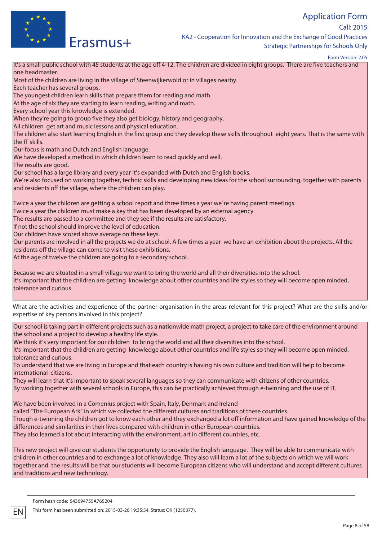Call: 2015



Erasmus+

KA2 - Cooperation for Innovation and the Exchange of Good Practices Strategic Partnerships for Schools Only

Form Version: 2.05 It's a small public school with 45 students at the age off 4-12. The children are divided in eight groups. There are five teachers and one headmaster. Most of the children are living in the village of Steenwijkerwold or in villages nearby. Each teacher has several groups. The youngest children learn skills that prepare them for reading and math. At the age of six they are starting to learn reading, writing and math. Every school year this knowledge is extended. When they're going to group five they also get biology, history and geography. All children get art and music lessons and physical education. The children also start learning English in the first group and they develop these skills throughout eight years. That is the same with the IT skills. Our focus is math and Dutch and English language. We have developed a method in which children learn to read quickly and well. The results are good. Our school has a large library and every year it's expanded with Dutch and English books. We're also focused on working together, technic skills and developing new ideas for the school surrounding, together with parents and residents off the village, where the children can play. Twice a year the children are getting a school report and three times a year we´re having parent meetings. Twice a year the children must make a key that has been developed by an external agency. The results are passed to a committee and they see if the results are satisfactory. If not the school should improve the level of education. Our children have scored above average on these keys. Our parents are involved in all the projects we do at school. A few times a year we have an exhibition about the projects. All the residents off the village can come to visit these exhibitions. At the age of twelve the children are going to a secondary school. Because we are situated in a small village we want to bring the world and all their diversities into the school. It's important that the children are getting knowledge about other countries and life styles so they will become open minded, tolerance and curious. What are the activities and experience of the partner organisation in the areas relevant for this project? What are the skills and/or expertise of key persons involved in this project? Our school is taking part in different projects such as a nationwide math project, a project to take care of the environment around the school and a project to develop a healthy life style. We think it's very important for our children to bring the world and all their diversities into the school. It's important that the children are getting knowledge about other countries and life styles so they will become open minded, tolerance and curious. To understand that we are living in Europe and that each country is having his own culture and tradition will help to become international citizens. They will learn that it's important to speak several languages so they can communicate with citizens of other countries. By working together with several schools in Europe, this can be practically achieved through e-twinning and the use of IT. We have been involved in a Comenius project with Spain, Italy, Denmark and Ireland called "The European Ark" in which we collected the different cultures and traditions of these countries. Trough e-twinning the children got to know each other and they exchanged a lot off information and have gained knowledge of the differences and similarities in their lives compared with children in other European countries. They also learned a lot about interacting with the environment, art in different countries, etc. This new project will give our students the opportunity to provide the English language. They will be able to communicate with

children in other countries and to exchange a lot of knowledge. They also will learn a lot of the subjects on which we will work together and the results will be that our students will become European citizens who will understand and accept different cultures and traditions and new technology.

EN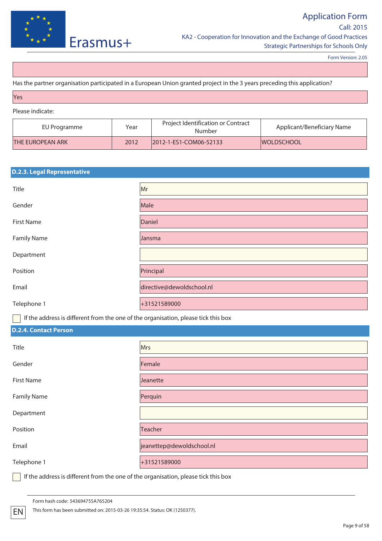

Form Version: 2.05

Application Form

Has the partner organisation participated in a European Union granted project in the 3 years preceding this application?

THE EUROPEAN ARK 2012 2012-1-ES1-COM06-52133 WOLDSCHOOL

| Yes              |      |                                              |                            |
|------------------|------|----------------------------------------------|----------------------------|
| Please indicate: |      |                                              |                            |
| EU Programme     | Year | Project Identification or Contract<br>Number | Applicant/Beneficiary Name |

|  |  | <b>D.2.3. Legal Representative</b> |
|--|--|------------------------------------|
|--|--|------------------------------------|

| Title              | Mr                        |
|--------------------|---------------------------|
| Gender             | Male                      |
| <b>First Name</b>  | Daniel                    |
| <b>Family Name</b> | Jansma                    |
| Department         |                           |
| Position           | Principal                 |
| Email              | directive@dewoldschool.nl |
| Telephone 1        | +31521589000              |

If the address is different from the one of the organisation, please tick this box

| <b>D.2.4. Contact Person</b>                                                       |                           |  |
|------------------------------------------------------------------------------------|---------------------------|--|
| Title                                                                              | Mrs                       |  |
| Gender                                                                             | Female                    |  |
| <b>First Name</b>                                                                  | Jeanette                  |  |
| <b>Family Name</b>                                                                 | Perquin                   |  |
| Department                                                                         |                           |  |
| Position                                                                           | Teacher                   |  |
| Email                                                                              | jeanettep@dewoldschool.nl |  |
| Telephone 1                                                                        | +31521589000              |  |
| If the address is different from the one of the organisation, please tick this box |                           |  |

If the address is different from the one of the organisation, please tick this box

Form hash code: 543694755A765204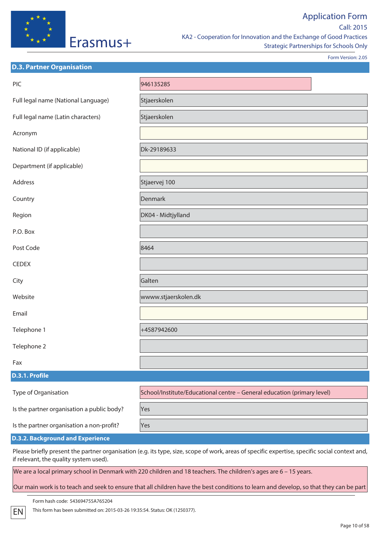

#### Form Version: 2.05

Application Form

#### **D.3. Partner Organisation**

| PIC                                        | 946135285                                                               |
|--------------------------------------------|-------------------------------------------------------------------------|
| Full legal name (National Language)        | Stjaerskolen                                                            |
| Full legal name (Latin characters)         | Stjaerskolen                                                            |
| Acronym                                    |                                                                         |
| National ID (if applicable)                | Dk-29189633                                                             |
| Department (if applicable)                 |                                                                         |
| Address                                    | Stjaervej 100                                                           |
| Country                                    | Denmark                                                                 |
| Region                                     | DK04 - Midtjylland                                                      |
| P.O. Box                                   |                                                                         |
| Post Code                                  | 8464                                                                    |
| <b>CEDEX</b>                               |                                                                         |
| City                                       | Galten                                                                  |
| Website                                    | wwww.stjaerskolen.dk                                                    |
| Email                                      |                                                                         |
| Telephone 1                                | +4587942600                                                             |
| Telephone 2                                |                                                                         |
| Fax                                        |                                                                         |
| D.3.1. Profile                             |                                                                         |
| Type of Organisation                       | School/Institute/Educational centre - General education (primary level) |
| Is the partner organisation a public body? | Yes                                                                     |
| Is the partner organisation a non-profit?  | Yes                                                                     |
| <b>D.3.2. Background and Experience</b>    |                                                                         |

Please briefly present the partner organisation (e.g. its type, size, scope of work, areas of specific expertise, specific social context and, if relevant, the quality system used).

We are a local primary school in Denmark with 220 children and 18 teachers. The children's ages are 6 - 15 years.

#### Our main work is to teach and seek to ensure that all children have the best conditions to learn and develop, so that they can be part

#### Form hash code: 543694755A765204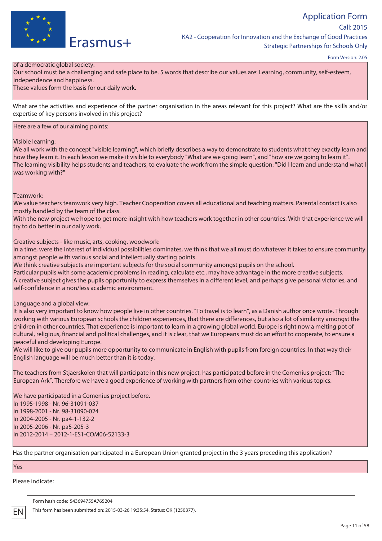Erasmus+

KA2 - Cooperation for Innovation and the Exchange of Good Practices Strategic Partnerships for Schools Only

Form Version: 2.05

Call: 2015

#### of a democratic global society.

Our school must be a challenging and safe place to be. 5 words that describe our values are: Learning, community, self-esteem, independence and happiness.

These values form the basis for our daily work.

What are the activities and experience of the partner organisation in the areas relevant for this project? What are the skills and/or expertise of key persons involved in this project?

Here are a few of our aiming points:

Visible learning:

We all work with the concept "visible learning", which briefly describes a way to demonstrate to students what they exactly learn and how they learn it. In each lesson we make it visible to everybody "What are we going learn", and "how are we going to learn it". The learning visibility helps students and teachers, to evaluate the work from the simple question: "Did I learn and understand what I was working with?"

Teamwork:

We value teachers teamwork very high. Teacher Cooperation covers all educational and teaching matters. Parental contact is also mostly handled by the team of the class.

With the new project we hope to get more insight with how teachers work together in other countries. With that experience we will try to do better in our daily work.

Creative subjects - like music, arts, cooking, woodwork:

In a time, were the interest of individual possibilities dominates, we think that we all must do whatever it takes to ensure community amongst people with various social and intellectually starting points.

We think creative subjects are important subjects for the social community amongst pupils on the school.

Particular pupils with some academic problems in reading, calculate etc., may have advantage in the more creative subjects. A creative subject gives the pupils opportunity to express themselves in a different level, and perhaps give personal victories, and self-confidence in a non/less academic environment.

Language and a global view:

It is also very important to know how people live in other countries. "To travel is to learn", as a Danish author once wrote. Through working with various European schools the children experiences, that there are differences, but also a lot of similarity amongst the children in other countries. That experience is important to learn in a growing global world. Europe is right now a melting pot of cultural, religious, financial and political challenges, and it is clear, that we Europeans must do an effort to cooperate, to ensure a peaceful and developing Europe.

We will like to give our pupils more opportunity to communicate in English with pupils from foreign countries. In that way their English language will be much better than it is today.

The teachers from Stjaerskolen that will participate in this new project, has participated before in the Comenius project: "The European Ark". Therefore we have a good experience of working with partners from other countries with various topics.

We have participated in a Comenius project before. In 1995-1998 - Nr. 96-31091-037 In 1998-2001 - Nr. 98-31090-024 In 2004-2005 - Nr. pa4-1-132-2 In 2005-2006 - Nr. pa5-205-3 In 2012-2014 – 2012-1-ES1-COM06-52133-3

Has the partner organisation participated in a European Union granted project in the 3 years preceding this application?

Yes

EN

Please indicate:

Form hash code: 543694755A765204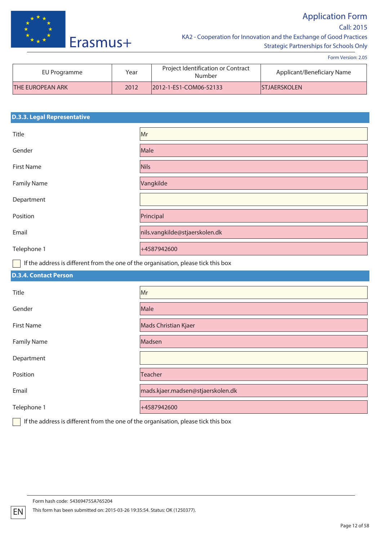

# Call: 2015

KA2 - Cooperation for Innovation and the Exchange of Good Practices

Strategic Partnerships for Schools Only

Form Version: 2.05

| EU Programme            | Year | <b>Project Identification or Contract</b><br>Number | Applicant/Beneficiary Name |
|-------------------------|------|-----------------------------------------------------|----------------------------|
| <b>THE EUROPEAN ARK</b> | 2012 | 2012-1-ES1-COM06-52133                              | <b>ISTJAERSKOLEN</b>       |

# **D.3.3. Legal Representative** Title **Mr. And Article** Gender Male First Name Nils Family Name Vangkilde Department Position **Principal** Email nils.vangkilde@stjaerskolen.dk Telephone 1 +4587942600

If the address is different from the one of the organisation, please tick this box

| <b>D.3.4. Contact Person</b> |                                   |
|------------------------------|-----------------------------------|
| Title                        | Mr                                |
| Gender                       | Male                              |
| <b>First Name</b>            | Mads Christian Kjaer              |
| <b>Family Name</b>           | Madsen                            |
| Department                   |                                   |
| Position                     | Teacher                           |
| Email                        | mads.kjaer.madsen@stjaerskolen.dk |
| Telephone 1                  | +4587942600                       |

If the address is different from the one of the organisation, please tick this box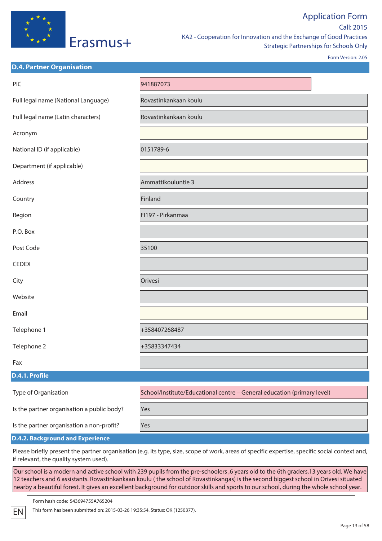

**D.4. Partner Organisation**

# Call: 2015 KA2 - Cooperation for Innovation and the Exchange of Good Practices Strategic Partnerships for Schools Only

Form Version: 2.05

Application Form

| PIC                                        | 941887073                                                               |
|--------------------------------------------|-------------------------------------------------------------------------|
| Full legal name (National Language)        | Rovastinkankaan koulu                                                   |
| Full legal name (Latin characters)         | Rovastinkankaan koulu                                                   |
| Acronym                                    |                                                                         |
| National ID (if applicable)                | 0151789-6                                                               |
| Department (if applicable)                 |                                                                         |
| Address                                    | Ammattikouluntie 3                                                      |
| Country                                    | Finland                                                                 |
| Region                                     | FI197 - Pirkanmaa                                                       |
| P.O. Box                                   |                                                                         |
| Post Code                                  | 35100                                                                   |
| <b>CEDEX</b>                               |                                                                         |
| City                                       | Orivesi                                                                 |
| Website                                    |                                                                         |
| Email                                      |                                                                         |
| Telephone 1                                | +358407268487                                                           |
| Telephone 2                                | +35833347434                                                            |
| Fax                                        |                                                                         |
| D.4.1. Profile                             |                                                                         |
| Type of Organisation                       | School/Institute/Educational centre - General education (primary level) |
| Is the partner organisation a public body? | Yes                                                                     |
| Is the partner organisation a non-profit?  | Yes                                                                     |
| <b>D.4.2. Background and Experience</b>    |                                                                         |

Please briefly present the partner organisation (e.g. its type, size, scope of work, areas of specific expertise, specific social context and, if relevant, the quality system used).

Our school is a modern and active school with 239 pupils from the pre-schoolers ,6 years old to the 6th graders,13 years old. We have 12 teachers and 6 assistants. Rovastinkankaan koulu ( the school of Rovastinkangas) is the second biggest school in Orivesi situated nearby a beautiful forest. It gives an excellent background for outdoor skills and sports to our school, during the whole school year.

Form hash code: 543694755A765204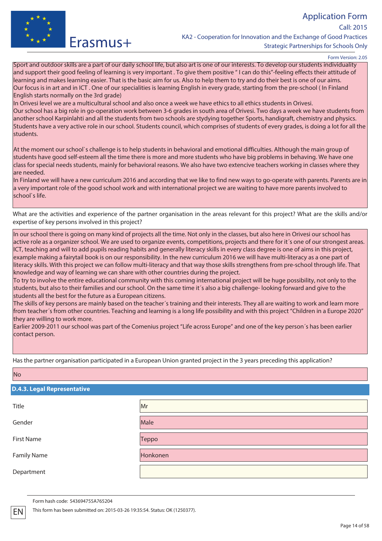

Call: 2015 KA2 - Cooperation for Innovation and the Exchange of Good Practices Strategic Partnerships for Schools Only

Form Version: 2.05

Sport and outdoor skills are a part of our daily school life, but also art is one of our interests. To develop our students individuality and support their good feeling of learning is very important . To give them positive " I can do this"-feeling effects their attitude of learning and makes learning easier. That is the basic aim for us. Also to help them to try and do their best is one of our aims. Our focus is in art and in ICT . One of our specialities is learning English in every grade, starting from the pre-school ( In Finland English starts normally on the 3rd grade)

In Orivesi level we are a multicultural school and also once a week we have ethics to all ethics students in Orivesi. Our school has a big role in go-operation work between 3-6 grades in south area of Orivesi. Two days a week we have students from another school Karpinlahti and all the students from two schools are stydying together Sports, handigraft, chemistry and physics. Students have a very active role in our school. Students council, which comprises of students of every grades, is doing a lot for all the students.

At the moment our school`s challenge is to help students in behavioral and emotional difficulties. Although the main group of students have good self-esteem all the time there is more and more students who have big problems in behaving. We have one class for special needs students, mainly for behavioral reasons. We also have two extencive teachers working in classes where they are needed.

In Finland we will have a new curriculum 2016 and according that we like to find new ways to go-operate with parents. Parents are in a very important role of the good school work and with international project we are waiting to have more parents involved to school`s life.

What are the activities and experience of the partner organisation in the areas relevant for this project? What are the skills and/or expertise of key persons involved in this project?

In our school there is going on many kind of projects all the time. Not only in the classes, but also here in Orivesi our school has active role as a organizer school. We are used to organize events, competitions, projects and there for it's one of our strongest areas. ICT, teaching and will to add pupils reading habits and generally literacy skills in every class degree is one of aims in this project, example making a fairytail book is on our responsibility. In the new curriculum 2016 we will have multi-literacy as a one part of literacy skills. With this project we can follow multi-literacy and that way those skills strengthens from pre-school through life. That knowledge and way of learning we can share with other countries during the project.

To try to involve the entire educational community with this coming international project will be huge possibility, not only to the students, but also to their families and our school. On the same time it´s also a big challenge- looking forward and give to the students all the best for the future as a European citizens.

The skills of key persons are mainly based on the teacher´s training and their interests. They all are waiting to work and learn more from teacher´s from other countries. Teaching and learning is a long life possibility and with this project "Children in a Europe 2020" they are willing to work more.

Earlier 2009-2011 our school was part of the Comenius project "Life across Europe" and one of the key person´s has been earlier contact person.

Has the partner organisation participated in a European Union granted project in the 3 years preceding this application?

| D.4.3. Legal Representative |              |  |
|-----------------------------|--------------|--|
| Title                       | Mr           |  |
| Gender                      | Male         |  |
| First Name                  | <b>Teppo</b> |  |
| <b>Family Name</b>          | Honkonen     |  |
| Department                  |              |  |

Form hash code: 543694755A765204

No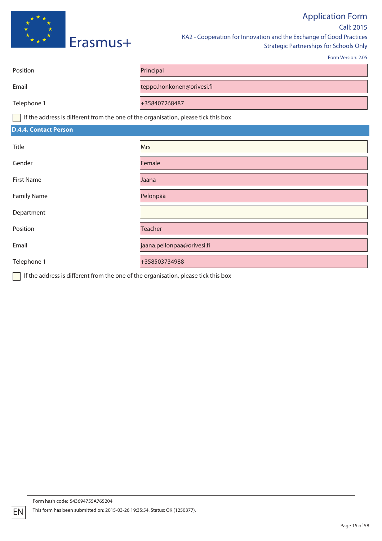

Application Form

Form Version: 2.05

| Position                                                                           | Principal                  |  |
|------------------------------------------------------------------------------------|----------------------------|--|
| Email                                                                              | teppo.honkonen@orivesi.fi  |  |
| Telephone 1                                                                        | +358407268487              |  |
| If the address is different from the one of the organisation, please tick this box |                            |  |
| <b>D.4.4. Contact Person</b>                                                       |                            |  |
| Title                                                                              | Mrs                        |  |
| Gender                                                                             | Female                     |  |
| <b>First Name</b>                                                                  | Jaana                      |  |
| <b>Family Name</b>                                                                 | Pelonpää                   |  |
| Department                                                                         |                            |  |
| Position                                                                           | <b>Teacher</b>             |  |
| Email                                                                              | jaana.pellonpaa@orivesi.fi |  |
| Telephone 1                                                                        | +358503734988              |  |
| If the address is different from the one of the organisation, please tick this box |                            |  |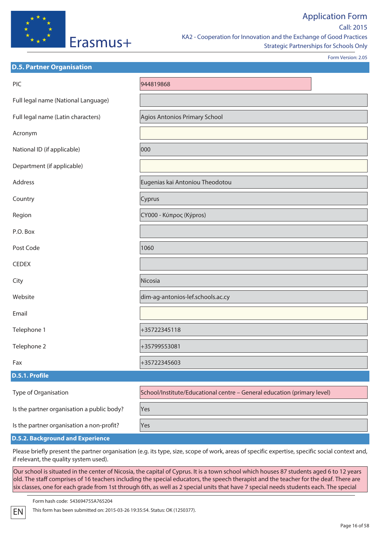

**D.5. Partner Organisation**

# Call: 2015 KA2 - Cooperation for Innovation and the Exchange of Good Practices Strategic Partnerships for Schools Only

Form Version: 2.05

Application Form

| D.J. Farther Organisation                  |                                                                         |
|--------------------------------------------|-------------------------------------------------------------------------|
| PIC                                        | 944819868                                                               |
| Full legal name (National Language)        |                                                                         |
| Full legal name (Latin characters)         | Agios Antonios Primary School                                           |
| Acronym                                    |                                                                         |
| National ID (if applicable)                | 000                                                                     |
| Department (if applicable)                 |                                                                         |
| Address                                    | Eugenias kai Antoniou Theodotou                                         |
| Country                                    | Cyprus                                                                  |
| Region                                     | CY000 - Κύπρος (Kýpros)                                                 |
| P.O. Box                                   |                                                                         |
| Post Code                                  | 1060                                                                    |
| <b>CEDEX</b>                               |                                                                         |
| City                                       | Nicosia                                                                 |
| Website                                    | dim-ag-antonios-lef.schools.ac.cy                                       |
| Email                                      |                                                                         |
| Telephone 1                                | +35722345118                                                            |
| Telephone 2                                | +35799553081                                                            |
| Fax                                        | +35722345603                                                            |
| D.5.1. Profile                             |                                                                         |
| Type of Organisation                       | School/Institute/Educational centre - General education (primary level) |
| Is the partner organisation a public body? | Yes                                                                     |
| Is the partner organisation a non-profit?  | Yes                                                                     |
| <b>D.5.2. Background and Experience</b>    |                                                                         |

Please briefly present the partner organisation (e.g. its type, size, scope of work, areas of specific expertise, specific social context and, if relevant, the quality system used).

Our school is situated in the center of Nicosia, the capital of Cyprus. It is a town school which houses 87 students aged 6 to 12 years old. The staff comprises of 16 teachers including the special educators, the speech therapist and the teacher for the deaf. There are six classes, one for each grade from 1st through 6th, as well as 2 special units that have 7 special needs students each. The special

Form hash code: 543694755A765204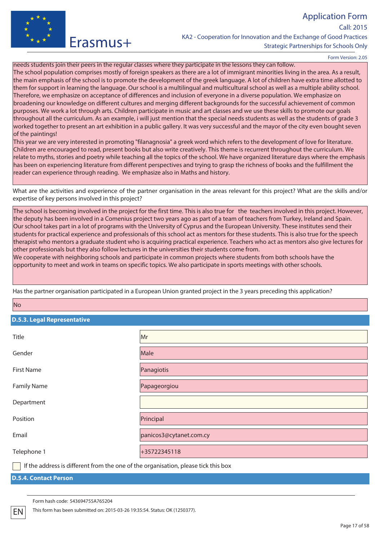

Form Version: 2.05

Application Form

needs students join their peers in the regular classes where they participate in the lessons they can follow. The school population comprises mostly of foreign speakers as there are a lot of immigrant minorities living in the area. As a result, the main emphasis of the school is to promote the development of the greek language. A lot of children have extra time allotted to them for support in learning the language. Our school is a multilingual and multicultural school as well as a multiple ability school. Therefore, we emphasize on acceptance of differences and inclusion of everyone in a diverse population. We emphasize on broadening our knowledge on different cultures and merging different backgrounds for the successful achievement of common purposes. We work a lot through arts. Children participate in music and art classes and we use these skills to promote our goals throughout all the curriculum. As an example, i will just mention that the special needs students as well as the students of grade 3 worked together to present an art exhibition in a public gallery. It was very successful and the mayor of the city even bought seven of the paintings!

This year we are very interested in promoting "filanagnosia" a greek word which refers to the development of love for literature. Children are encouraged to read, present books but also write creatively. This theme is recurrent throughout the curriculum. We relate to myths, stories and poetry while teaching all the topics of the school. We have organized literature days where the emphasis has been on experiencing literature from different perspectives and trying to grasp the richness of books and the fulfillment the reader can experience through reading. We emphasize also in Maths and history.

What are the activities and experience of the partner organisation in the areas relevant for this project? What are the skills and/or expertise of key persons involved in this project?

The school is becoming involved in the project for the first time. This is also true for the teachers involved in this project. However, the deputy has been involved in a Comenius project two years ago as part of a team of teachers from Turkey, Ireland and Spain. Our school takes part in a lot of programs with the University of Cyprus and the European University. These institutes send their students for practical experience and professionals of this school act as mentors for these students. This is also true for the speech therapist who mentors a graduate student who is acquiring practical experience. Teachers who act as mentors also give lectures for other professionals but they also follow lectures in the universities their students come from.

We cooperate with neighboring schools and participate in common projects where students from both schools have the opportunity to meet and work in teams on specific topics. We also participate in sports meetings with other schools.

Has the partner organisation participated in a European Union granted project in the 3 years preceding this application?

#### No

#### **D.5.3. Legal Representative**

| Title                                                                                                                  | Mr                      |
|------------------------------------------------------------------------------------------------------------------------|-------------------------|
| Gender                                                                                                                 | Male                    |
| <b>First Name</b>                                                                                                      | Panagiotis              |
| <b>Family Name</b>                                                                                                     | Papageorgiou            |
| Department                                                                                                             |                         |
| Position                                                                                                               | Principal               |
| Email                                                                                                                  | panicos3@cytanet.com.cy |
| Telephone 1                                                                                                            | +35722345118            |
| <u>na alikuwa walalizio kata alifferina itafini mpakama na katika kama mai makazi wa makazi alikuwa kata kata kazi</u> |                         |

If the address is different from the one of the organisation, please tick this box

#### **D.5.4. Contact Person**

EN

Form hash code: 543694755A765204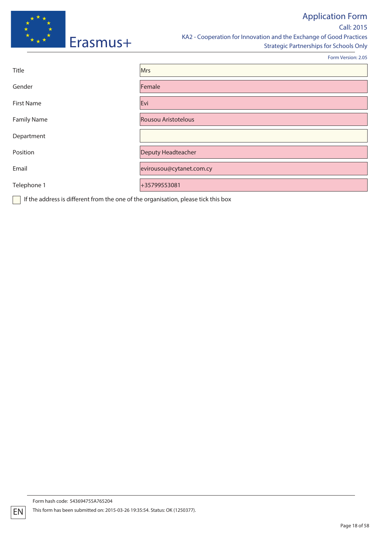

Form Version: 2.05

| Title              | Mrs                      |
|--------------------|--------------------------|
| Gender             | Female                   |
| <b>First Name</b>  | Evi                      |
| <b>Family Name</b> | Rousou Aristotelous      |
| Department         |                          |
| Position           | Deputy Headteacher       |
| Email              | evirousou@cytanet.com.cy |
| Telephone 1        | +35799553081             |

If the address is different from the one of the organisation, please tick this box

Form hash code: 543694755A765204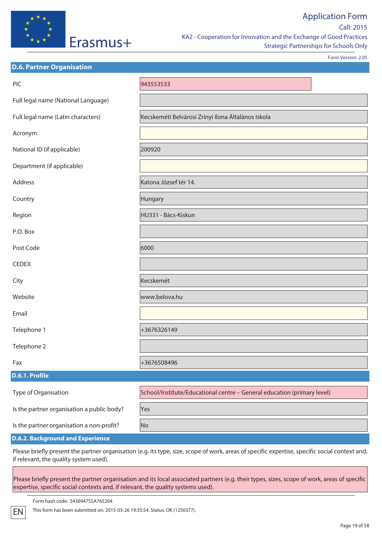

#### Form Version: 2.05

Application Form

| <b>D.6. Partner Organisation</b>           |                                                                         |
|--------------------------------------------|-------------------------------------------------------------------------|
| PIC                                        | 943553533                                                               |
| Full legal name (National Language)        |                                                                         |
| Full legal name (Latin characters)         | Kecskeméti Belvárosi Zrínyi Ilona Általános Iskola                      |
| Acronym                                    |                                                                         |
| National ID (if applicable)                | 200920                                                                  |
| Department (if applicable)                 |                                                                         |
| Address                                    | Katona József tér 14.                                                   |
| Country                                    | Hungary                                                                 |
| Region                                     | HU331 - Bács-Kiskun                                                     |
| P.O. Box                                   |                                                                         |
| Post Code                                  | 6000                                                                    |
| <b>CEDEX</b>                               |                                                                         |
| City                                       | Kecskemét                                                               |
| Website                                    | www.belova.hu                                                           |
| Email                                      |                                                                         |
| Telephone 1                                | +3676326149                                                             |
| Telephone 2                                |                                                                         |
| Fax                                        | +3676508496                                                             |
| D.6.1. Profile                             |                                                                         |
| Type of Organisation                       | School/Institute/Educational centre - General education (primary level) |
| Is the partner organisation a public body? | Yes                                                                     |
| Is the partner organisation a non-profit?  | No                                                                      |
| <b>D.6.2. Background and Experience</b>    |                                                                         |

Please briefly present the partner organisation (e.g. its type, size, scope of work, areas of specific expertise, specific social context and, if relevant, the quality system used).

Please briefly present the partner organisation and its local associated partners (e.g. their types, sizes, scope of work, areas of specific expertise, specific social contexts and, if relevant, the quality systems used).

Form hash code: 543694755A765204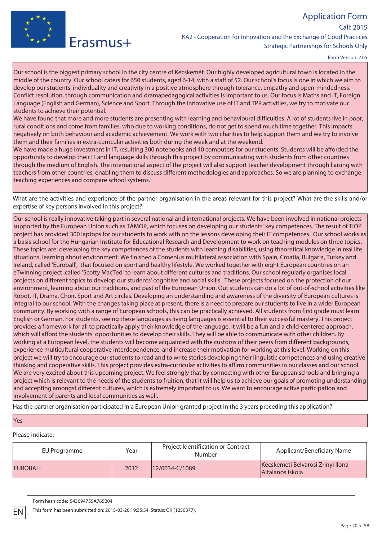

Erasmus+

KA2 - Cooperation for Innovation and the Exchange of Good Practices

Strategic Partnerships for Schools Only

Form Version: 2.05

Call: 2015

Our school is the biggest primary school in the city centre of Kecskemét. Our highly developed agricultural town is located in the middle of the country. Our school caters for 650 students, aged 6-14, with a staff of 52. Our school's focus is one in which we aim to develop our students' individuality and creativity in a positive atmosphere through tolerance, empathy and open-mindedness. Conflict resolution, through communication and dramapedagogical activities is important to us. Our focus is Maths and IT, Foreign Language (English and German), Science and Sport. Through the innovative use of IT and TPR activities, we try to motivate our students to achieve their potential.

We have found that more and more students are presenting with learning and behavioural difficulties. A lot of students live in poor, rural conditions and come from families, who due to working conditions, do not get to spend much time together. This impacts negatively on both behaviour and academic achievement. We work with two charities to help support them and we try to involve them and their families in extra-curricular activities both during the week and at the weekend.

We have made a huge investment in IT, resulting 300 notebooks and 40 computers for our students. Students will be afforded the opportunity to develop their IT and language skills through this project by communicating with students from other countries through the medium of English. The international aspect of the project will also support teacher development through liaising with teachers from other countries, enabling them to discuss different methodologies and approaches. So we are planning to exchange teaching experiences and compare school systems.

What are the activities and experience of the partner organisation in the areas relevant for this project? What are the skills and/or expertise of key persons involved in this project?

Our school is really innovative taking part in several national and international projects. We have been involved in national projects supported by the European Union such as TÁMOP, which focuses on developing our students' key competences. The result of TIOP project has provided 300 laptops for our students to work with on the lessons developing their IT competences. Our school works as a basis school for the Hungarian Institute for Educational Research and Development to work on teaching modules on three topics. These topics are: developing the key competences of the students with learning disabilities, using theoretical knowledge in real life situations, learning about environment. We finished a Comenius multilateral association with Spain, Croatia, Bulgaria, Turkey and Ireland, called 'Euroball', that focused on sport and healthy lifestyle. We worked together with eight European countries on an eTwinning project ,called 'Scotty MacTed' to learn about different cultures and traditions. Our school regularly organises local projects on different topics to develop our students' cognitive and social skills. These projects focused on the protection of our environment, learning about our traditions, and past of the European Union. Out students can do a lot of out-of-school activities like Robot, IT, Drama, Choir, Sport and Art circles. Developing an understanding and awareness of the diversity of European cultures is integral to our school. With the changes taking place at present, there is a need to prepare our students to live in a wider European community. By working with a range of European schools, this can be practically achieved. All students from first grade must learn English or German. For students, seeing these languages as living languages is essential to their successful mastery. This project provides a framework for all to practically apply their knowledge of the language. It will be a fun and a child-centered approach, which will afford the students' opportunities to develop their skills. They will be able to communicate with other children. By working at a European level, the students will become acquainted with the customs of their peers from different backgrounds, experience multicultural cooperative interdependence, and increase their motivation for working at this level. Working on this project we will try to encourage our students to read and to write stories developing their linguistic competences and using creative thinking and cooperative skills. This project provides extra-curricular activities to affirm communities in our classes and our school. We are very excited about this upcoming project. We feel strongly that by connecting with other European schools and bringing a project which is relevant to the needs of the students to fruition, that it will help us to achieve our goals of promoting understanding and accepting amongst different cultures, which is extremely important to us. We want to encourage active participation and involvement of parents and local communities as well.

Has the partner organisation participated in a European Union granted project in the 3 years preceding this application?

#### Yes

EN

Please indicate:

| EU Programme    | Year | Project Identification or Contract<br>Number | Applicant/Beneficiary Name                            |
|-----------------|------|----------------------------------------------|-------------------------------------------------------|
| <b>EUROBALL</b> | 2012 | 12/0034-C/1089                               | Kecskemeti Belvarosi Zrinyi Ilona<br>Altalanos Iskola |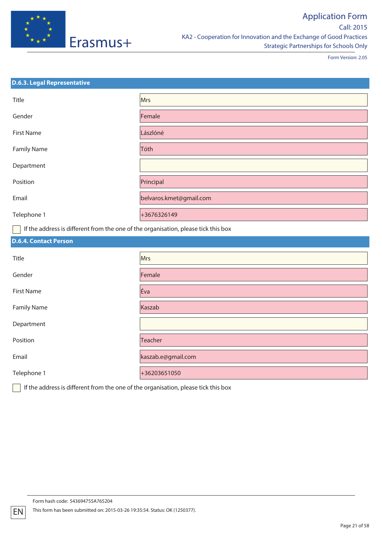

Form Version: 2.05

Application Form

| <b>D.6.3. Legal Representative</b> |                         |
|------------------------------------|-------------------------|
| Title                              | Mrs                     |
| Gender                             | Female                  |
| <b>First Name</b>                  | Lászlóné                |
| <b>Family Name</b>                 | Tóth                    |
| Department                         |                         |
| Position                           | Principal               |
| Email                              | belvaros.kmet@gmail.com |
| Telephone 1                        | +3676326149             |

If the address is different from the one of the organisation, please tick this box

| <b>D.6.4. Contact Person</b> |                    |
|------------------------------|--------------------|
| Title                        | <b>Mrs</b>         |
| Gender                       | Female             |
| <b>First Name</b>            | Éva                |
| <b>Family Name</b>           | Kaszab             |
| Department                   |                    |
| Position                     | Teacher            |
| Email                        | kaszab.e@gmail.com |
| Telephone 1                  | +36203651050       |

If the address is different from the one of the organisation, please tick this box $\mathcal{L}$ 

EN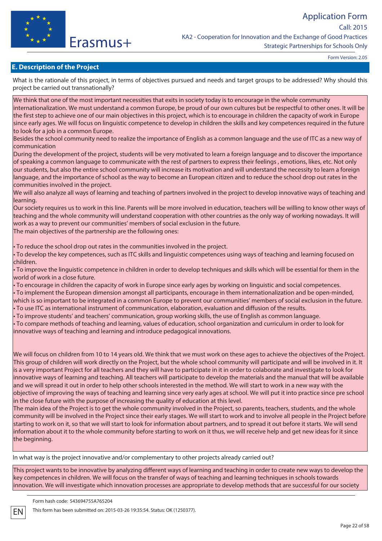

Form Version: 2.05

Application Form

# **E. Description of the Project**

What is the rationale of this project, in terms of objectives pursued and needs and target groups to be addressed? Why should this project be carried out transnationally?

We think that one of the most important necessities that exits in society today is to encourage in the whole community internationalization. We must understand a common Europe, be proud of our own cultures but be respectful to other ones. It will be the first step to achieve one of our main objectives in this project, which is to encourage in children the capacity of work in Europe since early ages. We will focus on linguistic competence to develop in children the skills and key competences required in the future to look for a job in a common Europe.

Besides the school community need to realize the importance of English as a common language and the use of ITC as a new way of communication

During the development of the project, students will be very motivated to learn a foreign language and to discover the importance of speaking a common language to communicate with the rest of partners to express their feelings , emotions, likes, etc. Not only our students, but also the entire school community will increase its motivation and will understand the necessity to learn a foreign language, and the importance of school as the way to become an European citizen and to reduce the school drop out rates in the communities involved in the project.

We will also analyze all ways of learning and teaching of partners involved in the project to develop innovative ways of teaching and learning.

Our society requires us to work in this line. Parents will be more involved in education, teachers will be willing to know other ways of teaching and the whole community will understand cooperation with other countries as the only way of working nowadays. It will work as a way to prevent our communities' members of social exclusion in the future.

The main objectives of the partnership are the following ones:

• To reduce the school drop out rates in the communities involved in the project.

• To develop the key competences, such as ITC skills and linguistic competences using ways of teaching and learning focused on children.

• To improve the linguistic competence in children in order to develop techniques and skills which will be essential for them in the world of work in a close future.

• To encourage in children the capacity of work in Europe since early ages by working on linguistic and social competences. • To implement the European dimension amongst all participants, encourage in them internationalization and be open-minded, which is so important to be integrated in a common Europe to prevent our communities' members of social exclusion in the future. • To use ITC as international instrument of communication, elaboration, evaluation and diffusion of the results.

• To improve students' and teachers' communication, group working skills, the use of English as common language.

• To compare methods of teaching and learning, values of education, school organization and curriculum in order to look for innovative ways of teaching and learning and introduce pedagogical innovations.

We will focus on children from 10 to 14 years old. We think that we must work on these ages to achieve the objectives of the Project. This group of children will work directly on the Project, but the whole school community will participate and will be involved in it. It is a very important Project for all teachers and they will have to participate in it in order to colaborate and investigate to look for innovative ways of learning and teaching. All teachers will participate to develop the materials and the manual that will be available and we will spread it out in order to help other schools interested in the method. We will start to work in a new way with the objective of improving the ways of teaching and learning since very early ages at school. We will put it into practice since pre school in the close future with the purpose of increasing the quality of education at this level.

The main idea of the Project is to get the whole community involved in the Project, so parents, teachers, students, and the whole community will be involved in the Project since their early stages. We will start to work and to involve all people in the Project before starting to work on it, so that we will start to look for information about partners, and to spread it out before it starts. We will send information about it to the whole community before starting to work on it thus, we will receive help and get new ideas for it since the beginning.

In what way is the project innovative and/or complementary to other projects already carried out?

This project wants to be innovative by analyzing different ways of learning and teaching in order to create new ways to develop the key competences in children. We will focus on the transfer of ways of teaching and learning techniques in schools towards innovation. We will investigate which innovation processes are appropriate to develop methods that are successful for our society

Form hash code: 543694755A765204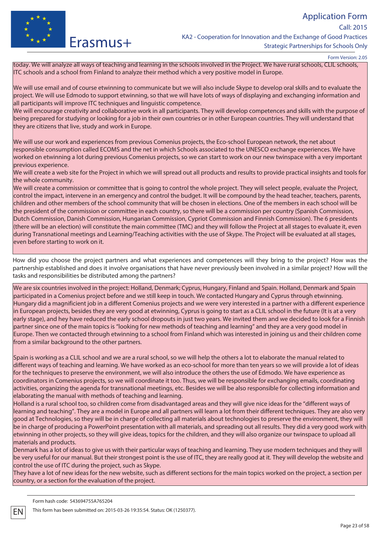

# Erasmus+

Call: 2015 KA2 - Cooperation for Innovation and the Exchange of Good Practices Strategic Partnerships for Schools Only

Form Version: 2.05

today. We will analyze all ways of teaching and learning in the schools involved in the Project. We have rural schools, CLIL schools, ITC schools and a school from Finland to analyze their method which a very positive model in Europe.

We will use email and of course etwinning to communicate but we will also include Skype to develop oral skills and to evaluate the project. We will use Edmodo to support etwinning, so that we will have lots of ways of displaying and exchanging information and all participants will improve ITC techniques and linguistic competence.

We will encourage creativity and collaborative work in all participants. They will develop competences and skills with the purpose of being prepared for studying or looking for a job in their own countries or in other European countries. They will understand that they are citizens that live, study and work in Europe.

We will use our work and experiences from previous Comenius projects, the Eco-school European network, the net about responsible consumption called ECOMS and the net in which Schools associated to the UNESCO exchange experiences. We have worked on etwinning a lot during previous Comenius projects, so we can start to work on our new twinspace with a very important previous experience.

We will create a web site for the Project in which we will spread out all products and results to provide practical insights and tools for the whole community.

We will create a commission or committee that is going to control the whole project. They will select people, evaluate the Project, control the impact, intervene in an emergency and control the budget. It will be compound by the head teacher, teachers, parents, children and other members of the school community that will be chosen in elections. One of the members in each school will be the president of the commission or committee in each country, so there will be a commission per country (Spanish Commission, Dutch Commission, Danish Commission, Hungarian Commission, Cypriot Commission and Finnish Commission). The 6 presidents (there will be an election) will constitute the main committee (TMC) and they will follow the Project at all stages to evaluate it, even during Transnational meetings and Learning/Teaching activities with the use of Skype. The Project will be evaluated at all stages, even before starting to work on it.

How did you choose the project partners and what experiences and competences will they bring to the project? How was the partnership established and does it involve organisations that have never previously been involved in a similar project? How will the tasks and responsibilities be distributed among the partners?

We are six countries involved in the project: Holland, Denmark; Cyprus, Hungary, Finland and Spain. Holland, Denmark and Spain participated in a Comenius project before and we still keep in touch. We contacted Hungary and Cyprus through etwinning. Hungary did a magnificient job in a different Comenius projects and we were very interested in a partner with a different experience in European projects, besides they are very good at etwinning, Cyprus is going to start as a CLIL school in the future (It is at a very early stage), and hey have reduced the early school dropouts in just two years. We invited them and we decided to look for a Finnish partner since one of the main topics is "looking for new methods of teaching and learning" and they are a very good model in Europe. Then we contacted through etwinning to a school from Finland which was interested in joining us and their children come from a similar background to the other partners.

Spain is working as a CLIL school and we are a rural school, so we will help the others a lot to elaborate the manual related to different ways of teaching and learning. We have worked as an eco-school for more than ten years so we will provide a lot of ideas for the techniques to preserve the environment, we will also introduce the others the use of Edmodo. We have experience as coordinators in Comenius projects, so we will coordinate it too. Thus, we will be responsible for exchanging emails, coordinating activities, organizing the agenda for transnational meetings, etc. Besides we will be also responsible for collecting information and elaborating the manual with methods of teaching and learning.

Holland is a rural school too, so children come from disadvantaged areas and they will give nice ideas for the "different ways of learning and teaching". They are a model in Europe and all partners will learn a lot from their different techniques. They are also very good at Technologies, so they will be in charge of collecting all materials about technologies to preserve the environment, they will be in charge of producing a PowerPoint presentation with all materials, and spreading out all results. They did a very good work with etwinning in other projects, so they will give ideas, topics for the children, and they will also organize our twinspace to upload all materials and products.

Denmark has a lot of ideas to give us with their particular ways of teaching and learning. They use modern techniques and they will be very useful for our manual. But their strongest point is the use of ITC, they are really good at it. They will develop the website and control the use of ITC during the project, such as Skype.

They have a lot of new ideas for the new website, such as different sections for the main topics worked on the project, a section per country, or a section for the evaluation of the project.

EN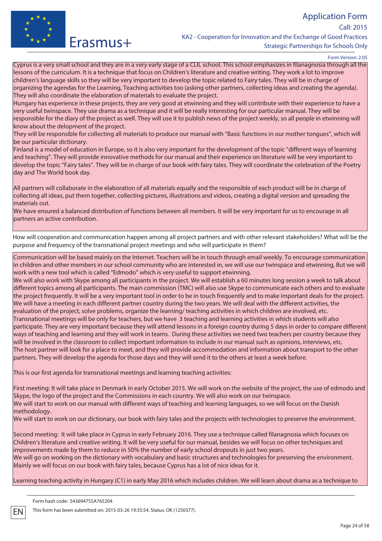

# Erasmus+

KA2 - Cooperation for Innovation and the Exchange of Good Practices Strategic Partnerships for Schools Only

Form Version: 2.05

Call: 2015

Cyprus is a very small school and they are in a very early stage of a CLIL school. This school emphasizes in filanagnosia through all the lessons of the curriculum. It is a technique that focus on Children's literature and creative writing. They work a lot to improve children's language skills so they will be very important to develop the topic related to Fairy tales. They will be in charge of organizing the agendas for the Learning, Teaching activities too (asking other partners, collecting ideas and creating the agenda). They will also coordinate the elaboration of materials to evaluate the project.

Hungary has experience in these projects, they are very good at etwinning and they will contribute with their experience to have a very useful twinspace. They use drama as a technique and it will be really interesting for our particular manual. They will be responsible for the diary of the project as well. They will use it to publish news of the project weekly, so all people in etwinning will know about the delopment of the project.

They will be responsible for collecting all materials to produce our manual with "Basic functions in our mother tongues", which will be our particular dictionary.

Finland is a model of education in Europe, so it is also very important for the development of the topic "different ways of learning and teaching". They will provide innovative methods for our manual and their experience on literature will be very important to develop the topic "Fairy tales". They will be in charge of our book with fairy tales. They will coordinate the celebration of the Poetry day and The World book day.

All partners will collaborate in the elaboration of all materials equally and the responsible of each product will be in charge of collecting all ideas, put them together, collecting pictures, illustrations and videos, creating a digital version and spreading the materials out.

We have ensured a balanced distribution of functions between all members. It will be very important for us to encourage in all partners an active contribution.

How will cooperation and communication happen among all project partners and with other relevant stakeholders? What will be the purpose and frequency of the transnational project meetings and who will participate in them?

Communication will be based mainly on the Internet. Teachers will be in touch through email weekly. To encourage communication in children and other members in our school community who are interested in, we will use our twinspace and etwinning, But we will work with a new tool which is called "Edmodo" which is very useful to support etwinning.

We will also work with Skype among all participants in the project. We will establish a 60 minutes long session a week to talk about different topics among all participants. The main commission (TMC) will also use Skype to communicate each others and to evaluate the project frequently. It will be a very important tool in order to be in touch frequently and to make important deals for the project. We will have a meeting in each different partner country during the two years. We will deal with the different activities, the evaluation of the project, solve problems, organize the learning/ teaching activities in which children are involved, etc. Transnational meetings will be only for teachers, but we have 3 teaching and learning activities in which students will also participate. They are very important because they will attend lessons in a foreign country during 5 days in order to compare different ways of teaching and learning and they will work in teams. During these activities we need two teachers per country because they will be involved in the classroom to collect important information to include in our manual such as opinions, interviews, etc. The host partner will look for a place to meet, and they will provide accommodation and information about transport to the other partners. They will develop the agenda for those days and they will send it to the others at least a week before.

This is our first agenda for transnational meetings and learning teaching activities:

First meeting: It will take place in Denmark in early October 2015. We will work on the website of the project, the use of edmodo and Skype, the logo of the project and the Commissions in each country. We will also work on our twinspace.

We will start to work on our manual with different ways of teaching and learning languages, so we will focus on the Danish methodology.

We will start to work on our dictionary, our book with fairy tales and the projects with technologies to preserve the environment.

Second meeting: It will take place in Cyprus in early February 2016. They use a technique called filanagnosia which focuses on Children's literature and creative writing. It will be very useful for our manual, besides we will focus on other techniques and improvements made by them to reduce in 50% the number of early school dropouts in just two years.

We will go on working on the dictionary with vocabulary and basic structures and technologies for preserving the environment. Mainly we will focus on our book with fairy tales, because Cyprus has a lot of nice ideas for it.

Learning teaching activity in Hungary (C1) in early May 2016 which includes children. We will learn about drama as a technique to

Form hash code: 543694755A765204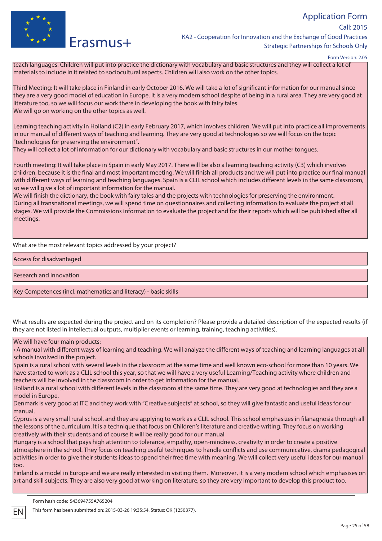

Erasmus+

Call: 2015 KA2 - Cooperation for Innovation and the Exchange of Good Practices Strategic Partnerships for Schools Only

Form Version: 2.05

teach languages. Children will put into practice the dictionary with vocabulary and basic structures and they will collect a lot of materials to include in it related to sociocultural aspects. Children will also work on the other topics.

Third Meeting: It will take place in Finland in early October 2016. We will take a lot of significant information for our manual since they are a very good model of education in Europe. It is a very modern school despite of being in a rural area. They are very good at literature too, so we will focus our work there in developing the book with fairy tales. We will go on working on the other topics as well.

Learning teaching activity in Holland (C2) in early February 2017, which involves children. We will put into practice all improvements in our manual of different ways of teaching and learning. They are very good at technologies so we will focus on the topic "technologies for preserving the environment".

They will collect a lot of information for our dictionary with vocabulary and basic structures in our mother tongues.

Fourth meeting: It will take place in Spain in early May 2017. There will be also a learning teaching activity (C3) which involves children, because it is the final and most important meeting. We will finish all products and we will put into practice our final manual with different ways of learning and teaching languages. Spain is a CLIL school which includes different levels in the same classroom, so we will give a lot of important information for the manual.

We will finish the dictionary, the book with fairy tales and the projects with technologies for preserving the environment. During all transnational meetings, we will spend time on questionnaires and collecting information to evaluate the project at all stages. We will provide the Commissions information to evaluate the project and for their reports which will be published after all meetings.

What are the most relevant topics addressed by your project?

Access for disadvantaged

Research and innovation

Key Competences (incl. mathematics and literacy) - basic skills

What results are expected during the project and on its completion? Please provide a detailed description of the expected results (if they are not listed in intellectual outputs, multiplier events or learning, training, teaching activities).

We will have four main products:

• A manual with different ways of learning and teaching. We will analyze the different ways of teaching and learning languages at all schools involved in the project.

Spain is a rural school with several levels in the classroom at the same time and well known eco-school for more than 10 years. We have started to work as a CLIL school this year, so that we will have a very useful Learning/Teaching activity where children and teachers will be involved in the classroom in order to get information for the manual.

Holland is a rural school with different levels in the classroom at the same time. They are very good at technologies and they are a model in Europe.

Denmark is very good at ITC and they work with "Creative subjects" at school, so they will give fantastic and useful ideas for our manual.

Cyprus is a very small rural school, and they are applying to work as a CLIL school. This school emphasizes in filanagnosia through all the lessons of the curriculum. It is a technique that focus on Children's literature and creative writing. They focus on working creatively with their students and of course it will be really good for our manual

Hungary is a school that pays high attention to tolerance, empathy, open-mindness, creativity in order to create a positive atmosphere in the school. They focus on teaching useful techniques to handle conflicts and use communicative, drama pedagogical activities in order to give their students ideas to spend their free time with meaning. We will collect very useful ideas for our manual too.

Finland is a model in Europe and we are really interested in visiting them. Moreover, it is a very modern school which emphasises on art and skill subjects. They are also very good at working on literature, so they are very important to develop this product too.

Form hash code: 543694755A765204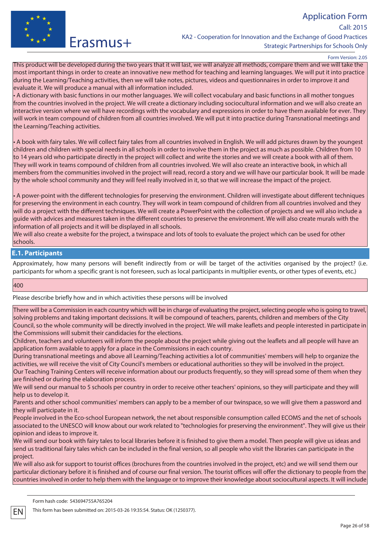



Form Version: 2.05

This product will be developed during the two years that it will last, we will analyze all methods, compare them and we will take the most important things in order to create an innovative new method for teaching and learning languages. We will put it into practice during the Learning/Teaching activities, then we will take notes, pictures, videos and questionnaires in order to improve it and evaluate it. We will produce a manual with all information included.

• A dictionary with basic functions in our mother languages. We will collect vocabulary and basic functions in all mother tongues from the countries involved in the project. We will create a dictionary including sociocultural information and we will also create an interactive version where we will have recordings with the vocabulary and expressions in order to have them available for ever. They will work in team compound of children from all countries involved. We will put it into practice during Transnational meetings and the Learning/Teaching activities.

• A book with fairy tales. We will collect fairy tales from all countries involved in English. We will add pictures drawn by the youngest children and children with special needs in all schools in order to involve them in the project as much as possible. Children from 10 to 14 years old who participate directly in the project will collect and write the stories and we will create a book with all of them. They will work in teams compound of children from all countries involved. We will also create an interactive book, in which all members from the communities involved in the project will read, record a story and we will have our particular book. It will be made by the whole school community and they will feel really involved in it, so that we will increase the impact of the project.

• A power-point with the different technologies for preserving the environment. Children will investigate about different techniques for preserving the environment in each country. They will work in team compound of children from all countries involved and they will do a project with the different techniques. We will create a PowerPoint with the collection of projects and we will also include a guide with advices and measures taken in the different countries to preserve the environment. We will also create murals with the information of all projects and it will be displayed in all schools.

We will also create a website for the project, a twinspace and lots of tools to evaluate the project which can be used for other schools.

# **E.1. Participants**

Approximately, how many persons will benefit indirectly from or will be target of the activities organised by the project? (i.e. participants for whom a specific grant is not foreseen, such as local participants in multiplier events, or other types of events, etc.)

#### 400

Please describe briefly how and in which activities these persons will be involved

There will be a Commission in each country which will be in charge of evaluating the project, selecting people who is going to travel, solving problems and taking important decissions. It will be compound of teachers, parents, children and members of the City Council, so the whole community will be directly involved in the project. We will make leaflets and people interested in participate in the Commissions will submit their candidacies for the elections.

Children, teachers and volunteers will inform the people about the project while giving out the leaflets and all people will have an application form available to apply for a place in the Commissions in each country.

During transnational meetings and above all Learning/Teaching activities a lot of communities' members will help to organize the activities, we will receive the visit of City Council's members or educational authorities so they will be involved in the project.

Our Teaching Training Centers will receive information about our products frequently, so they will spread some of them when they are finished or during the elaboration process.

We will send our manual to 5 schools per country in order to receive other teachers' opinions, so they will participate and they will help us to develop it.

Parents and other school communities' members can apply to be a member of our twinspace, so we will give them a password and they will participate in it.

People involved in the Eco-school European network, the net about responsible consumption called ECOMS and the net of schools associated to the UNESCO will know about our work related to "technologies for preserving the environment". They will give us their opinion and ideas to improve it.

We will send our book with fairy tales to local libraries before it is finished to give them a model. Then people will give us ideas and send us traditional fairy tales which can be included in the final version, so all people who visit the libraries can participate in the project.

We will also ask for support to tourist offices (brochures from the countries involved in the project, etc) and we will send them our particular dictionary before it is finished and of course our final version. The tourist offices will offer the dictionary to people from the countries involved in order to help them with the language or to improve their knowledge about sociocultural aspects. It will include

Form hash code: 543694755A765204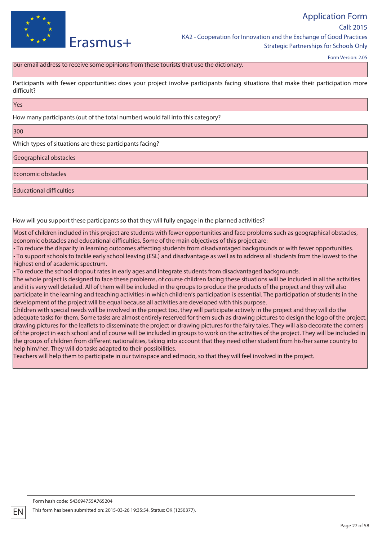

Form Version: 2.05

Application Form

#### our email address to receive some opinions from these tourists that use the dictionary.

Participants with fewer opportunities: does your project involve participants facing situations that make their participation more difficult?

#### Yes

How many participants (out of the total number) would fall into this category?

#### 300

Which types of situations are these participants facing?

Geographical obstacles

Economic obstacles

Educational difficulties

How will you support these participants so that they will fully engage in the planned activities?

Most of children included in this project are students with fewer opportunities and face problems such as geographical obstacles, economic obstacles and educational difficulties. Some of the main objectives of this project are:

• To reduce the disparity in learning outcomes affecting students from disadvantaged backgrounds or with fewer opportunities. • To support schools to tackle early school leaving (ESL) and disadvantage as well as to address all students from the lowest to the highest end of academic spectrum.

• To reduce the school dropout rates in early ages and integrate students from disadvantaged backgrounds.

The whole project is designed to face these problems, of course children facing these situations will be included in all the activities and it is very well detailed. All of them will be included in the groups to produce the products of the project and they will also participate in the learning and teaching activities in which children's participation is essential. The participation of students in the development of the project will be equal because all activities are developed with this purpose.

Children with special needs will be involved in the project too, they will participate actively in the project and they will do the adequate tasks for them. Some tasks are almost entirely reserved for them such as drawing pictures to design the logo of the project, drawing pictures for the leaflets to disseminate the project or drawing pictures for the fairy tales. They will also decorate the corners of the project in each school and of course will be included in groups to work on the activities of the project. They will be included in the groups of children from different nationalities, taking into account that they need other student from his/her same country to help him/her. They will do tasks adapted to their possibilities.

Teachers will help them to participate in our twinspace and edmodo, so that they will feel involved in the project.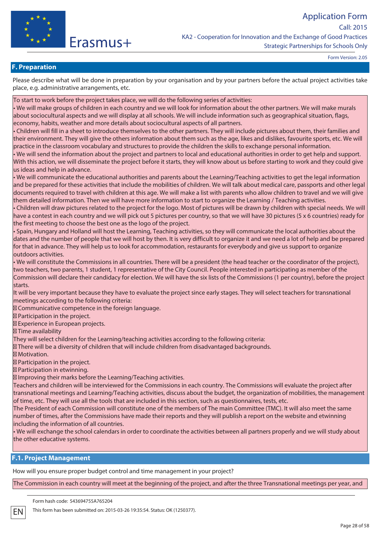



Form Version: 2.05

Call: 2015

# **F. Preparation**

Please describe what will be done in preparation by your organisation and by your partners before the actual project activities take place, e.g. administrative arrangements, etc.

To start to work before the project takes place, we will do the following series of activities:

• We will make groups of children in each country and we will look for information about the other partners. We will make murals about sociocultural aspects and we will display at all schools. We will include information such as geographical situation, flags, economy, habits, weather and more details about sociocultural aspects of all partners.

• Children will fill in a sheet to introduce themselves to the other partners. They will include pictures about them, their families and their environment. They will give the others information about them such as the age, likes and dislikes, favourite sports, etc. We will practice in the classroom vocabulary and structures to provide the children the skills to exchange personal information.

• We will send the information about the project and partners to local and educational authorities in order to get help and support. With this action, we will disseminate the project before it starts, they will know about us before starting to work and they could give us ideas and help in advance.

• We will communicate the educational authorities and parents about the Learning/Teaching activities to get the legal information and be prepared for these activities that include the mobilities of children. We will talk about medical care, passports and other legal documents required to travel with children at this age. We will make a list with parents who allow children to travel and we will give them detailed information. Then we will have more information to start to organize the Learning / Teaching activities.

• Children will draw pictures related to the project for the logo. Most of pictures will be drawn by children with special needs. We will have a contest in each country and we will pick out 5 pictures per country, so that we will have 30 pictures (5 x 6 countries) ready for the first meeting to choose the best one as the logo of the project.

• Spain, Hungary and Holland will host the Learning, Teaching activities, so they will communicate the local authorities about the dates and the number of people that we will host by then. It is very difficult to organize it and we need a lot of help and be prepared for that in advance. They will help us to look for accommodation, restaurants for everybody and give us support to organize outdoors activities.

• We will constitute the Commissions in all countries. There will be a president (the head teacher or the coordinator of the project), two teachers, two parents, 1 student, 1 representative of the City Council. People interested in participating as member of the Commission will declare their candidacy for election. We will have the six lists of the Commissions (1 per country), before the project starts.

It will be very important because they have to evaluate the project since early stages. They will select teachers for transnational meetings according to the following criteria:

Communicative competence in the foreign language.

*A* Participation in the project.

Experience in European projects.

**X**Time availability

They will select children for the Learning/teaching activities according to the following criteria:

**X** There will be a diversity of children that will include children from disadvantaged backgrounds.

**Motivation.** 

*<u>A</u>* Participation in the project.

*<u><b>A* Participation in etwinning.</u>

 $\boxtimes$  Improving their marks before the Learning/Teaching activities.

Teachers and children will be interviewed for the Commissions in each country. The Commissions will evaluate the project after transnational meetings and Learning/Teaching activities, discuss about the budget, the organization of mobilities, the management of time, etc. They will use all the tools that are included in this section, such as questionnaires, tests, etc.

The President of each Commission will constitute one of the members of The main Committee (TMC). It will also meet the same number of times, after the Commissions have made their reports and they will publish a report on the website and etwinning including the information of all countries.

• We will exchange the school calendars in order to coordinate the activities between all partners properly and we will study about the other educative systems.

#### **F.1. Project Management**

How will you ensure proper budget control and time management in your project?

The Commission in each country will meet at the beginning of the project, and after the three Transnational meetings per year, and

#### Form hash code: 543694755A765204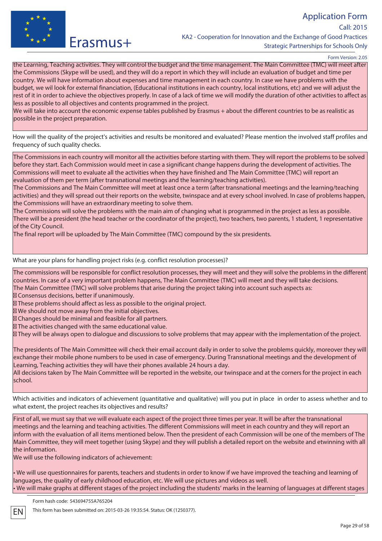

# Erasmus+

KA2 - Cooperation for Innovation and the Exchange of Good Practices Strategic Partnerships for Schools Only

Form Version: 2.05

Call: 2015

the Learning, Teaching activities. They will control the budget and the time management. The Main Committee (TMC) will meet after the Commissions (Skype will be used), and they will do a report in which they will include an evaluation of budget and time per country. We will have information about expenses and time management in each country. In case we have problems with the budget, we wil look for external financiation, (Educational institutions in each country, local institutions, etc) and we will adjust the rest of it in order to achieve the objectives properly. In case of a lack of time we will modify the duration of other activities to affect as less as possible to all objectives and contents programmed in the project.

We will take into account the economic expense tables published by Erasmus + about the different countries to be as realistic as possible in the project preparation.

How will the quality of the project's activities and results be monitored and evaluated? Please mention the involved staff profiles and frequency of such quality checks.

The Commissions in each country will monitor all the activities before starting with them. They will report the problems to be solved before they start. Each Commission would meet in case a significant change happens during the development of activities. The Commissions will meet to evaluate all the activities when they have finished and The Main Committee (TMC) will report an evaluation of them per term (after transnational meetings and the learning/teaching activities).

The Commissions and The Main Committee will meet at least once a term (after transnational meetings and the learning/teaching activities) and they will spread out their reports on the website, twinspace and at every school involved. In case of problems happen, the Commissions will have an extraordinary meeting to solve them.

The Commissions will solve the problems with the main aim of changing what is programmed in the project as less as possible. There will be a president (the head teacher or the coordinator of the project), two teachers, two parents, 1 student, 1 representative of the City Council.

The final report will be uploaded by The Main Committee (TMC) compound by the six presidents.

What are your plans for handling project risks (e.g. conflict resolution processes)?

The commissions will be responsible for conflict resolution processes, they will meet and they will solve the problems in the different countries. In case of a very important problem happens, The Main Committee (TMC) will meet and they will take decisions. The Main Committee (TMC) will solve problems that arise during the project taking into account such aspects as:

Consensus decisions, better if unanimously.

These problems should affect as less as possible to the original project.

 $\boxtimes$  We should not move away from the initial objectives.

Changes should be minimal and feasible for all partners.

The activities changed with the same educational value.

They will be always open to dialogue and discussions to solve problems that may appear with the implementation of the project.

The presidents of The Main Committee will check their email account daily in order to solve the problems quickly, moreover they will exchange their mobile phone numbers to be used in case of emergency. During Transnational meetings and the development of Learning, Teaching activities they will have their phones available 24 hours a day.

All decisions taken by The Main Committee will be reported in the website, our twinspace and at the corners for the project in each school.

Which activities and indicators of achievement (quantitative and qualitative) will you put in place in order to assess whether and to what extent, the project reaches its objectives and results?

First of all, we must say that we will evaluate each aspect of the project three times per year. It will be after the transnational meetings and the learning and teaching activities. The different Commissions will meet in each country and they will report an inform with the evaluation of all items mentioned below. Then the president of each Commission will be one of the members of The Main Committee, they will meet together (using Skype) and they will publish a detailed report on the website and etwinning with all the information.

We will use the following indicators of achievement:

• We will use questionnaires for parents, teachers and students in order to know if we have improved the teaching and learning of languages, the quality of early childhood education, etc. We will use pictures and videos as well. • We will make graphs at different stages of the project including the students' marks in the learning of languages at different stages

Form hash code: 543694755A765204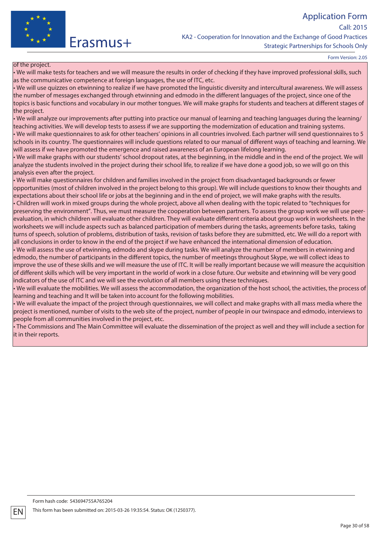Form Version: 2.05



Call: 2015 KA2 - Cooperation for Innovation and the Exchange of Good Practices Strategic Partnerships for Schools Only

#### of the project.

• We will make tests for teachers and we will measure the results in order of checking if they have improved professional skills, such as the communicative competence at foreign languages, the use of ITC, etc.

• We will use quizzes on etwinning to realize if we have promoted the linguistic diversity and intercultural awareness. We will assess the number of messages exchanged through etwinning and edmodo in the different languages of the project, since one of the topics is basic functions and vocabulary in our mother tongues. We will make graphs for students and teachers at different stages of the project.

• We will analyze our improvements after putting into practice our manual of learning and teaching languages during the learning/ teaching activities. We will develop tests to assess if we are supporting the modernization of education and training systems. • We will make questionnaires to ask for other teachers' opinions in all countries involved. Each partner will send questionnaires to 5 schools in its country. The questionnaires will include questions related to our manual of different ways of teaching and learning. We will assess if we have promoted the emergence and raised awareness of an European lifelong learning.

• We will make graphs with our students' school dropout rates, at the beginning, in the middle and in the end of the project. We will analyze the students involved in the project during their school life, to realize if we have done a good job, so we will go on this analysis even after the project.

• We will make questionnaires for children and families involved in the project from disadvantaged backgrounds or fewer opportunities (most of children involved in the project belong to this group). We will include questions to know their thoughts and expectations about their school life or jobs at the beginning and in the end of project, we will make graphs with the results. • Children will work in mixed groups during the whole project, above all when dealing with the topic related to "techniques for preserving the environment". Thus, we must measure the cooperation between partners. To assess the group work we will use peerevaluation, in which children will evaluate other children. They will evaluate different criteria about group work in worksheets. In the worksheets we will include aspects such as balanced participation of members during the tasks, agreements before tasks, taking turns of speech, solution of problems, distribution of tasks, revision of tasks before they are submitted, etc. We will do a report with all conclusions in order to know in the end of the project if we have enhanced the international dimension of education.

• We will assess the use of etwinning, edmodo and skype during tasks. We will analyze the number of members in etwinning and edmodo, the number of participants in the different topics, the number of meetings throughout Skype, we will collect ideas to improve the use of these skills and we will measure the use of ITC. It will be really important because we will measure the acquisition of different skills which will be very important in the world of work in a close future. Our website and etwinning will be very good indicators of the use of ITC and we will see the evolution of all members using these techniques.

• We will evaluate the mobilities. We will assess the accommodation, the organization of the host school, the activities, the process of learning and teaching and It will be taken into account for the following mobilities.

• We will evaluate the impact of the project through questionnaires, we will collect and make graphs with all mass media where the project is mentioned, number of visits to the web site of the project, number of people in our twinspace and edmodo, interviews to people from all communities involved in the project, etc.

• The Commissions and The Main Committee will evaluate the dissemination of the project as well and they will include a section for it in their reports.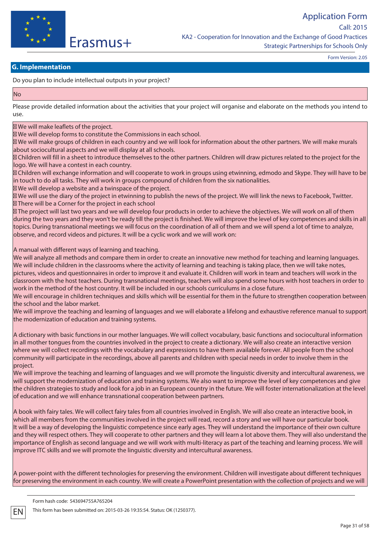

Form Version: 2.05

Application Form

# **G. Implementation**

Do you plan to include intellectual outputs in your project?

#### No

Please provide detailed information about the activities that your project will organise and elaborate on the methods you intend to use.

**N** We will make leaflets of the project.

We will develop forms to constitute the Commissions in each school.

 We will make groups of children in each country and we will look for information about the other partners. We will make murals about sociocultural aspects and we will display at all schools.

 Children will fill in a sheet to introduce themselves to the other partners. Children will draw pictures related to the project for the logo. We will have a contest in each country.

 Children will exchange information and will cooperate to work in groups using etwinning, edmodo and Skype. They will have to be in touch to do all tasks. They will work in groups compound of children from the six nationalities.

 $\boxtimes$  We will develop a website and a twinspace of the project.

 We will use the diary of the project in etwinning to publish the news of the project. We will link the news to Facebook, Twitter. There will be a Corner for the project in each school

 The project will last two years and we will develop four products in order to achieve the objectives. We will work on all of them during the two years and they won't be ready till the project is finished. We will improve the level of key competences and skills in all topics. During transnational meetings we will focus on the coordination of all of them and we will spend a lot of time to analyze, observe, and record videos and pictures. It will be a cyclic work and we will work on:

A manual with different ways of learning and teaching.

We will analyze all methods and compare them in order to create an innovative new method for teaching and learning languages. We will include children in the classrooms where the activity of learning and teaching is taking place, then we will take notes, pictures, videos and questionnaires in order to improve it and evaluate it. Children will work in team and teachers will work in the classroom with the host teachers. During transnational meetings, teachers will also spend some hours with host teachers in order to work in the method of the host country. It will be included in our schools curriculums in a close future.

We will encourage in children techniques and skills which will be essential for them in the future to strengthen cooperation between the school and the labor market.

We will improve the teaching and learning of languages and we will elaborate a lifelong and exhaustive reference manual to support the modernization of education and training systems.

A dictionary with basic functions in our mother languages. We will collect vocabulary, basic functions and sociocultural information in all mother tongues from the countries involved in the project to create a dictionary. We will also create an interactive version where we will collect recordings with the vocabulary and expressions to have them available forever. All people from the school community will participate in the recordings, above all parents and children with special needs in order to involve them in the project.

We will improve the teaching and learning of languages and we will promote the linguistic diversity and intercultural awareness, we will support the modernization of education and training systems. We also want to improve the level of key competences and give the children strategies to study and look for a job in an European country in the future. We will foster internationalization at the level of education and we will enhance transnational cooperation between partners.

A book with fairy tales. We will collect fairy tales from all countries involved in English. We will also create an interactive book, in which all members from the communities involved in the project will read, record a story and we will have our particular book. It will be a way of developing the linguistic competence since early ages. They will understand the importance of their own culture and they will respect others. They will cooperate to other partners and they will learn a lot above them. They will also understand the importance of English as second language and we will work with multi-literacy as part of the teaching and learning process. We will improve ITC skills and we will promote the linguistic diversity and intercultural awareness.

A power-point with the different technologies for preserving the environment. Children will investigate about different techniques for preserving the environment in each country. We will create a PowerPoint presentation with the collection of projects and we will

#### Form hash code: 543694755A765204

EN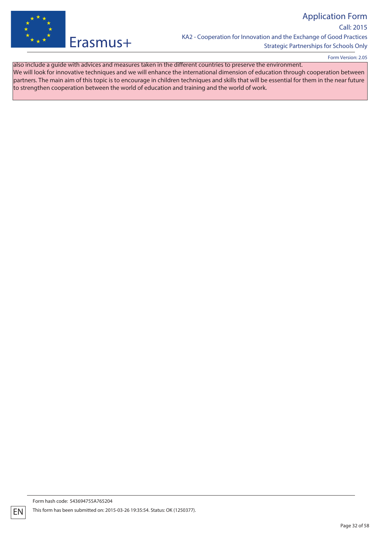



Form Version: 2.05

also include a guide with advices and measures taken in the different countries to preserve the environment. We will look for innovative techniques and we will enhance the international dimension of education through cooperation between partners. The main aim of this topic is to encourage in children techniques and skills that will be essential for them in the near future to strengthen cooperation between the world of education and training and the world of work.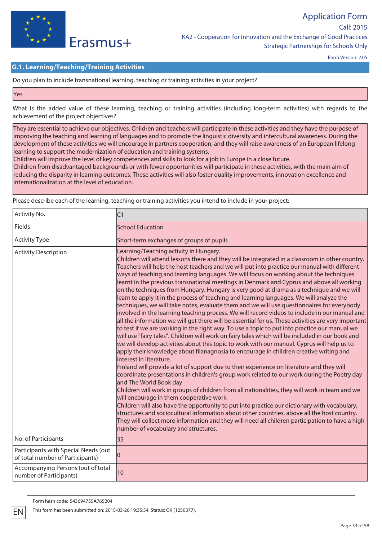

Application Form

# **G.1. Learning/Teaching/Training Activities**

Do you plan to include transnational learning, teaching or training activities in your project?

Yes

What is the added value of these learning, teaching or training activities (including long-term activities) with regards to the achievement of the project objectives?

They are essential to achieve our objectives. Children and teachers will participate in these activities and they have the purpose of improving the teaching and learning of languages and to promote the linguistic diversity and intercultural awareness. During the development of these activities we will encourage in partners cooperation, and they will raise awareness of an European lifelong learning to support the modernization of education and training systems.

Children will improve the level of key competences and skills to look for a job in Europe in a close future.

Children from disadvantaged backgrounds or with fewer opportunities will participate in these activities, with the main aim of reducing the disparity in learning outcomes. These activities will also foster quality improvements, innovation excellence and internationalization at the level of education.

Please describe each of the learning, teaching or training activities you intend to include in your project:

| Activity No.                                                             | C1                                                                                                                                                                                                                                                                                                                                                                                                                                                                                                                                                                                                                                                                                                                                                                                                                                                                                                                                                                                                                                                                                                                                                                                                                                                                                                                                                                                                                                                                                                                                                                                                                                                                                                                                                                                                                                                                                                                                                                                                                                                                    |
|--------------------------------------------------------------------------|-----------------------------------------------------------------------------------------------------------------------------------------------------------------------------------------------------------------------------------------------------------------------------------------------------------------------------------------------------------------------------------------------------------------------------------------------------------------------------------------------------------------------------------------------------------------------------------------------------------------------------------------------------------------------------------------------------------------------------------------------------------------------------------------------------------------------------------------------------------------------------------------------------------------------------------------------------------------------------------------------------------------------------------------------------------------------------------------------------------------------------------------------------------------------------------------------------------------------------------------------------------------------------------------------------------------------------------------------------------------------------------------------------------------------------------------------------------------------------------------------------------------------------------------------------------------------------------------------------------------------------------------------------------------------------------------------------------------------------------------------------------------------------------------------------------------------------------------------------------------------------------------------------------------------------------------------------------------------------------------------------------------------------------------------------------------------|
| Fields                                                                   | <b>School Education</b>                                                                                                                                                                                                                                                                                                                                                                                                                                                                                                                                                                                                                                                                                                                                                                                                                                                                                                                                                                                                                                                                                                                                                                                                                                                                                                                                                                                                                                                                                                                                                                                                                                                                                                                                                                                                                                                                                                                                                                                                                                               |
| <b>Activity Type</b>                                                     | Short-term exchanges of groups of pupils                                                                                                                                                                                                                                                                                                                                                                                                                                                                                                                                                                                                                                                                                                                                                                                                                                                                                                                                                                                                                                                                                                                                                                                                                                                                                                                                                                                                                                                                                                                                                                                                                                                                                                                                                                                                                                                                                                                                                                                                                              |
| <b>Activity Description</b>                                              | Learning/Teaching activity in Hungary.<br>Children will attend lessons there and they will be integrated in a classroom in other country.<br>Teachers will help the host teachers and we will put into practice our manual with different<br>ways of teaching and learning languages. We will focus on working about the techniques<br>learnt in the previous transnational meetings in Denmark and Cyprus and above all working<br>on the techniques from Hungary. Hungary is very good at drama as a technique and we will<br>learn to apply it in the process of teaching and learning languages. We will analyze the<br>techniques, we will take notes, evaluate them and we will use questionnaires for everybody<br>involved in the learning teaching process. We will record videos to include in our manual and<br>all the information we will get there will be essential for us. These activities are very important<br>to test if we are working in the right way. To use a topic to put into practice our manual we<br>will use "fairy tales". Children will work on fairy tales which will be included in our book and<br>we will develop activities about this topic to work with our manual. Cyprus will help us to<br>apply their knowledge about filanagnosia to encourage in children creative writing and<br>interest in literature.<br>Finland will provide a lot of support due to their experience on literature and they will<br>coordinate presentations in children's group work related to our work during the Poetry day<br>and The World Book day<br>Children will work in groups of children from all nationalities, they will work in team and we<br>will encourage in them cooperative work.<br>Children will also have the opportunity to put into practice our dictionary with vocabulary,<br>structures and sociocultural information about other countries, above all the host country.<br>They will collect more information and they will need all children participation to have a high<br>number of vocabulary and structures. |
| No. of Participants                                                      | 35                                                                                                                                                                                                                                                                                                                                                                                                                                                                                                                                                                                                                                                                                                                                                                                                                                                                                                                                                                                                                                                                                                                                                                                                                                                                                                                                                                                                                                                                                                                                                                                                                                                                                                                                                                                                                                                                                                                                                                                                                                                                    |
| Participants with Special Needs (out<br>of total number of Participants) | 10                                                                                                                                                                                                                                                                                                                                                                                                                                                                                                                                                                                                                                                                                                                                                                                                                                                                                                                                                                                                                                                                                                                                                                                                                                                                                                                                                                                                                                                                                                                                                                                                                                                                                                                                                                                                                                                                                                                                                                                                                                                                    |
| Accompanying Persons (out of total<br>number of Participants)            | 10                                                                                                                                                                                                                                                                                                                                                                                                                                                                                                                                                                                                                                                                                                                                                                                                                                                                                                                                                                                                                                                                                                                                                                                                                                                                                                                                                                                                                                                                                                                                                                                                                                                                                                                                                                                                                                                                                                                                                                                                                                                                    |

Form hash code: 543694755A765204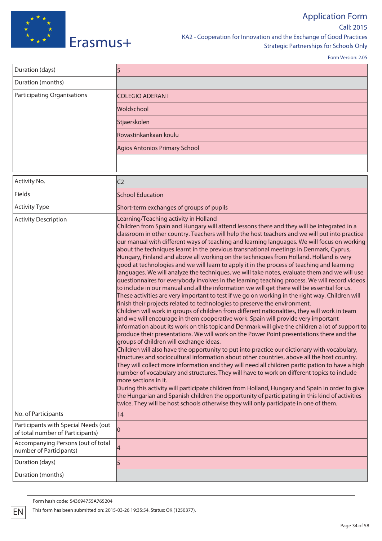

Form Version: 2.05

Application Form

| Duration (days)                                                          | 5                                                                                                                                                                                                                                                                                                                                                                                                                                                                                                                                                                                                                                                                                                                                                                                                                                                                                                                                                                                                                                                                                                                                                                                                                                                                                                                                                                                                                                                                                                                                                                                                                                                                                                                                                                                                                                                                                                                                                                                                                                                                                                                                                                                                                                                              |
|--------------------------------------------------------------------------|----------------------------------------------------------------------------------------------------------------------------------------------------------------------------------------------------------------------------------------------------------------------------------------------------------------------------------------------------------------------------------------------------------------------------------------------------------------------------------------------------------------------------------------------------------------------------------------------------------------------------------------------------------------------------------------------------------------------------------------------------------------------------------------------------------------------------------------------------------------------------------------------------------------------------------------------------------------------------------------------------------------------------------------------------------------------------------------------------------------------------------------------------------------------------------------------------------------------------------------------------------------------------------------------------------------------------------------------------------------------------------------------------------------------------------------------------------------------------------------------------------------------------------------------------------------------------------------------------------------------------------------------------------------------------------------------------------------------------------------------------------------------------------------------------------------------------------------------------------------------------------------------------------------------------------------------------------------------------------------------------------------------------------------------------------------------------------------------------------------------------------------------------------------------------------------------------------------------------------------------------------------|
| Duration (months)                                                        |                                                                                                                                                                                                                                                                                                                                                                                                                                                                                                                                                                                                                                                                                                                                                                                                                                                                                                                                                                                                                                                                                                                                                                                                                                                                                                                                                                                                                                                                                                                                                                                                                                                                                                                                                                                                                                                                                                                                                                                                                                                                                                                                                                                                                                                                |
| <b>Participating Organisations</b>                                       | <b>COLEGIO ADERAN I</b>                                                                                                                                                                                                                                                                                                                                                                                                                                                                                                                                                                                                                                                                                                                                                                                                                                                                                                                                                                                                                                                                                                                                                                                                                                                                                                                                                                                                                                                                                                                                                                                                                                                                                                                                                                                                                                                                                                                                                                                                                                                                                                                                                                                                                                        |
|                                                                          | Woldschool                                                                                                                                                                                                                                                                                                                                                                                                                                                                                                                                                                                                                                                                                                                                                                                                                                                                                                                                                                                                                                                                                                                                                                                                                                                                                                                                                                                                                                                                                                                                                                                                                                                                                                                                                                                                                                                                                                                                                                                                                                                                                                                                                                                                                                                     |
|                                                                          | Stjaerskolen                                                                                                                                                                                                                                                                                                                                                                                                                                                                                                                                                                                                                                                                                                                                                                                                                                                                                                                                                                                                                                                                                                                                                                                                                                                                                                                                                                                                                                                                                                                                                                                                                                                                                                                                                                                                                                                                                                                                                                                                                                                                                                                                                                                                                                                   |
|                                                                          | Rovastinkankaan koulu                                                                                                                                                                                                                                                                                                                                                                                                                                                                                                                                                                                                                                                                                                                                                                                                                                                                                                                                                                                                                                                                                                                                                                                                                                                                                                                                                                                                                                                                                                                                                                                                                                                                                                                                                                                                                                                                                                                                                                                                                                                                                                                                                                                                                                          |
|                                                                          | Agios Antonios Primary School                                                                                                                                                                                                                                                                                                                                                                                                                                                                                                                                                                                                                                                                                                                                                                                                                                                                                                                                                                                                                                                                                                                                                                                                                                                                                                                                                                                                                                                                                                                                                                                                                                                                                                                                                                                                                                                                                                                                                                                                                                                                                                                                                                                                                                  |
|                                                                          |                                                                                                                                                                                                                                                                                                                                                                                                                                                                                                                                                                                                                                                                                                                                                                                                                                                                                                                                                                                                                                                                                                                                                                                                                                                                                                                                                                                                                                                                                                                                                                                                                                                                                                                                                                                                                                                                                                                                                                                                                                                                                                                                                                                                                                                                |
| Activity No.                                                             | C <sub>2</sub>                                                                                                                                                                                                                                                                                                                                                                                                                                                                                                                                                                                                                                                                                                                                                                                                                                                                                                                                                                                                                                                                                                                                                                                                                                                                                                                                                                                                                                                                                                                                                                                                                                                                                                                                                                                                                                                                                                                                                                                                                                                                                                                                                                                                                                                 |
| Fields                                                                   | <b>School Education</b>                                                                                                                                                                                                                                                                                                                                                                                                                                                                                                                                                                                                                                                                                                                                                                                                                                                                                                                                                                                                                                                                                                                                                                                                                                                                                                                                                                                                                                                                                                                                                                                                                                                                                                                                                                                                                                                                                                                                                                                                                                                                                                                                                                                                                                        |
| <b>Activity Type</b>                                                     | Short-term exchanges of groups of pupils                                                                                                                                                                                                                                                                                                                                                                                                                                                                                                                                                                                                                                                                                                                                                                                                                                                                                                                                                                                                                                                                                                                                                                                                                                                                                                                                                                                                                                                                                                                                                                                                                                                                                                                                                                                                                                                                                                                                                                                                                                                                                                                                                                                                                       |
| <b>Activity Description</b>                                              | Learning/Teaching activity in Holland<br>Children from Spain and Hungary will attend lessons there and they will be integrated in a<br>classroom in other country. Teachers will help the host teachers and we will put into practice<br>our manual with different ways of teaching and learning languages. We will focus on working<br>about the techniques learnt in the previous transnational meetings in Denmark, Cyprus,<br>Hungary, Finland and above all working on the techniques from Holland. Holland is very<br>good at technologies and we will learn to apply it in the process of teaching and learning<br>languages. We will analyze the techniques, we will take notes, evaluate them and we will use<br>questionnaires for everybody involves in the learning teaching process. We will record videos<br>to include in our manual and all the information we will get there will be essential for us.<br>These activities are very important to test if we go on working in the right way. Children will<br>finish their projects related to technologies to preserve the environment.<br>Children will work in groups of children from different nationalities, they will work in team<br>and we will encourage in them cooperative work. Spain will provide very important<br>information about its work on this topic and Denmark will give the children a lot of support to<br>produce their presentations. We will work on the Power Point presentations there and the<br>groups of children will exchange ideas.<br>Children will also have the opportunity to put into practice our dictionary with vocabulary,<br>structures and sociocultural information about other countries, above all the host country.<br>They will collect more information and they will need all children participation to have a high<br>number of vocabulary and structures. They will have to work on different topics to include<br>more sections in it.<br>During this activity will participate children from Holland, Hungary and Spain in order to give<br>the Hungarian and Spanish children the opportunity of participating in this kind of activities<br>twice. They will be host schools otherwise they will only participate in one of them. |
| No. of Participants                                                      | 14                                                                                                                                                                                                                                                                                                                                                                                                                                                                                                                                                                                                                                                                                                                                                                                                                                                                                                                                                                                                                                                                                                                                                                                                                                                                                                                                                                                                                                                                                                                                                                                                                                                                                                                                                                                                                                                                                                                                                                                                                                                                                                                                                                                                                                                             |
| Participants with Special Needs (out<br>of total number of Participants) |                                                                                                                                                                                                                                                                                                                                                                                                                                                                                                                                                                                                                                                                                                                                                                                                                                                                                                                                                                                                                                                                                                                                                                                                                                                                                                                                                                                                                                                                                                                                                                                                                                                                                                                                                                                                                                                                                                                                                                                                                                                                                                                                                                                                                                                                |
| Accompanying Persons (out of total<br>number of Participants)            | 4                                                                                                                                                                                                                                                                                                                                                                                                                                                                                                                                                                                                                                                                                                                                                                                                                                                                                                                                                                                                                                                                                                                                                                                                                                                                                                                                                                                                                                                                                                                                                                                                                                                                                                                                                                                                                                                                                                                                                                                                                                                                                                                                                                                                                                                              |
| Duration (days)                                                          | 5                                                                                                                                                                                                                                                                                                                                                                                                                                                                                                                                                                                                                                                                                                                                                                                                                                                                                                                                                                                                                                                                                                                                                                                                                                                                                                                                                                                                                                                                                                                                                                                                                                                                                                                                                                                                                                                                                                                                                                                                                                                                                                                                                                                                                                                              |
| Duration (months)                                                        |                                                                                                                                                                                                                                                                                                                                                                                                                                                                                                                                                                                                                                                                                                                                                                                                                                                                                                                                                                                                                                                                                                                                                                                                                                                                                                                                                                                                                                                                                                                                                                                                                                                                                                                                                                                                                                                                                                                                                                                                                                                                                                                                                                                                                                                                |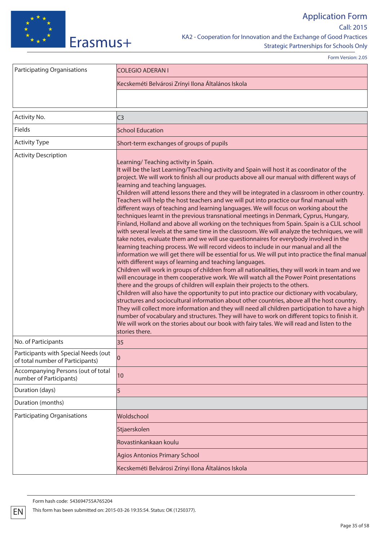

Call: 2015

KA2 - Cooperation for Innovation and the Exchange of Good Practices Strategic Partnerships for Schools Only

Form Version: 2.05

| <b>Participating Organisations</b>                                       | <b>COLEGIO ADERAN I</b>                                                                                                                                                                                                                                                                                                                                                                                                                                                                                                                                                                                                                                                                                                                                                                                                                                                                                                                                                                                                                                                                                                                                                                                                                                                                                                                                                                                                                                                                                                                                                                                                                                                                                                                                                                                                                                                                                                                                                                                        |  |  |  |  |  |
|--------------------------------------------------------------------------|----------------------------------------------------------------------------------------------------------------------------------------------------------------------------------------------------------------------------------------------------------------------------------------------------------------------------------------------------------------------------------------------------------------------------------------------------------------------------------------------------------------------------------------------------------------------------------------------------------------------------------------------------------------------------------------------------------------------------------------------------------------------------------------------------------------------------------------------------------------------------------------------------------------------------------------------------------------------------------------------------------------------------------------------------------------------------------------------------------------------------------------------------------------------------------------------------------------------------------------------------------------------------------------------------------------------------------------------------------------------------------------------------------------------------------------------------------------------------------------------------------------------------------------------------------------------------------------------------------------------------------------------------------------------------------------------------------------------------------------------------------------------------------------------------------------------------------------------------------------------------------------------------------------------------------------------------------------------------------------------------------------|--|--|--|--|--|
|                                                                          | Kecskeméti Belvárosi Zrínyi Ilona Általános Iskola                                                                                                                                                                                                                                                                                                                                                                                                                                                                                                                                                                                                                                                                                                                                                                                                                                                                                                                                                                                                                                                                                                                                                                                                                                                                                                                                                                                                                                                                                                                                                                                                                                                                                                                                                                                                                                                                                                                                                             |  |  |  |  |  |
|                                                                          |                                                                                                                                                                                                                                                                                                                                                                                                                                                                                                                                                                                                                                                                                                                                                                                                                                                                                                                                                                                                                                                                                                                                                                                                                                                                                                                                                                                                                                                                                                                                                                                                                                                                                                                                                                                                                                                                                                                                                                                                                |  |  |  |  |  |
| Activity No.                                                             | C <sub>3</sub>                                                                                                                                                                                                                                                                                                                                                                                                                                                                                                                                                                                                                                                                                                                                                                                                                                                                                                                                                                                                                                                                                                                                                                                                                                                                                                                                                                                                                                                                                                                                                                                                                                                                                                                                                                                                                                                                                                                                                                                                 |  |  |  |  |  |
| Fields                                                                   | <b>School Education</b>                                                                                                                                                                                                                                                                                                                                                                                                                                                                                                                                                                                                                                                                                                                                                                                                                                                                                                                                                                                                                                                                                                                                                                                                                                                                                                                                                                                                                                                                                                                                                                                                                                                                                                                                                                                                                                                                                                                                                                                        |  |  |  |  |  |
| <b>Activity Type</b>                                                     | Short-term exchanges of groups of pupils                                                                                                                                                                                                                                                                                                                                                                                                                                                                                                                                                                                                                                                                                                                                                                                                                                                                                                                                                                                                                                                                                                                                                                                                                                                                                                                                                                                                                                                                                                                                                                                                                                                                                                                                                                                                                                                                                                                                                                       |  |  |  |  |  |
| <b>Activity Description</b>                                              | Learning/Teaching activity in Spain.<br>It will be the last Learning/Teaching activity and Spain will host it as coordinator of the<br>project. We will work to finish all our products above all our manual with different ways of<br>learning and teaching languages.<br>Children will attend lessons there and they will be integrated in a classroom in other country.<br>Teachers will help the host teachers and we will put into practice our final manual with<br>different ways of teaching and learning languages. We will focus on working about the<br>techniques learnt in the previous transnational meetings in Denmark, Cyprus, Hungary,<br>Finland, Holland and above all working on the techniques from Spain. Spain is a CLIL school<br>with several levels at the same time in the classroom. We will analyze the techniques, we will<br>take notes, evaluate them and we will use questionnaires for everybody involved in the<br>learning teaching process. We will record videos to include in our manual and all the<br>information we will get there will be essential for us. We will put into practice the final manual<br>with different ways of learning and teaching languages.<br>Children will work in groups of children from all nationalities, they will work in team and we<br>will encourage in them cooperative work. We will watch all the Power Point presentations<br>there and the groups of children will explain their projects to the others.<br>Children will also have the opportunity to put into practice our dictionary with vocabulary,<br>structures and sociocultural information about other countries, above all the host country.<br>They will collect more information and they will need all children participation to have a high<br>number of vocabulary and structures. They will have to work on different topics to finish it.<br>We will work on the stories about our book with fairy tales. We will read and listen to the<br>stories there. |  |  |  |  |  |
| No. of Participants                                                      | 35                                                                                                                                                                                                                                                                                                                                                                                                                                                                                                                                                                                                                                                                                                                                                                                                                                                                                                                                                                                                                                                                                                                                                                                                                                                                                                                                                                                                                                                                                                                                                                                                                                                                                                                                                                                                                                                                                                                                                                                                             |  |  |  |  |  |
| Participants with Special Needs (out<br>of total number of Participants) | $ 0\rangle$                                                                                                                                                                                                                                                                                                                                                                                                                                                                                                                                                                                                                                                                                                                                                                                                                                                                                                                                                                                                                                                                                                                                                                                                                                                                                                                                                                                                                                                                                                                                                                                                                                                                                                                                                                                                                                                                                                                                                                                                    |  |  |  |  |  |
| Accompanying Persons (out of total<br>number of Participants)            | 10                                                                                                                                                                                                                                                                                                                                                                                                                                                                                                                                                                                                                                                                                                                                                                                                                                                                                                                                                                                                                                                                                                                                                                                                                                                                                                                                                                                                                                                                                                                                                                                                                                                                                                                                                                                                                                                                                                                                                                                                             |  |  |  |  |  |
| Duration (days)                                                          | $\overline{5}$                                                                                                                                                                                                                                                                                                                                                                                                                                                                                                                                                                                                                                                                                                                                                                                                                                                                                                                                                                                                                                                                                                                                                                                                                                                                                                                                                                                                                                                                                                                                                                                                                                                                                                                                                                                                                                                                                                                                                                                                 |  |  |  |  |  |
| Duration (months)                                                        |                                                                                                                                                                                                                                                                                                                                                                                                                                                                                                                                                                                                                                                                                                                                                                                                                                                                                                                                                                                                                                                                                                                                                                                                                                                                                                                                                                                                                                                                                                                                                                                                                                                                                                                                                                                                                                                                                                                                                                                                                |  |  |  |  |  |
| <b>Participating Organisations</b>                                       | Woldschool                                                                                                                                                                                                                                                                                                                                                                                                                                                                                                                                                                                                                                                                                                                                                                                                                                                                                                                                                                                                                                                                                                                                                                                                                                                                                                                                                                                                                                                                                                                                                                                                                                                                                                                                                                                                                                                                                                                                                                                                     |  |  |  |  |  |
|                                                                          | Stjaerskolen                                                                                                                                                                                                                                                                                                                                                                                                                                                                                                                                                                                                                                                                                                                                                                                                                                                                                                                                                                                                                                                                                                                                                                                                                                                                                                                                                                                                                                                                                                                                                                                                                                                                                                                                                                                                                                                                                                                                                                                                   |  |  |  |  |  |
|                                                                          | Rovastinkankaan koulu                                                                                                                                                                                                                                                                                                                                                                                                                                                                                                                                                                                                                                                                                                                                                                                                                                                                                                                                                                                                                                                                                                                                                                                                                                                                                                                                                                                                                                                                                                                                                                                                                                                                                                                                                                                                                                                                                                                                                                                          |  |  |  |  |  |
|                                                                          | Agios Antonios Primary School                                                                                                                                                                                                                                                                                                                                                                                                                                                                                                                                                                                                                                                                                                                                                                                                                                                                                                                                                                                                                                                                                                                                                                                                                                                                                                                                                                                                                                                                                                                                                                                                                                                                                                                                                                                                                                                                                                                                                                                  |  |  |  |  |  |
|                                                                          | Kecskeméti Belvárosi Zrínyi Ilona Általános Iskola                                                                                                                                                                                                                                                                                                                                                                                                                                                                                                                                                                                                                                                                                                                                                                                                                                                                                                                                                                                                                                                                                                                                                                                                                                                                                                                                                                                                                                                                                                                                                                                                                                                                                                                                                                                                                                                                                                                                                             |  |  |  |  |  |

Form hash code: 543694755A765204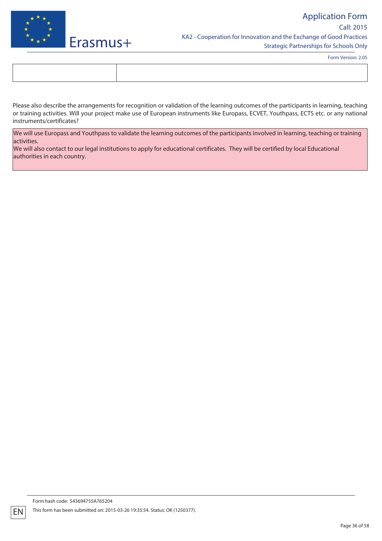

Form Version: 2.05

Application Form

Please also describe the arrangements for recognition or validation of the learning outcomes of the participants in learning, teaching or training activities. Will your project make use of European instruments like Europass, ECVET, Youthpass, ECTS etc. or any national instruments/certificates?

We will use Europass and Youthpass to validate the learning outcomes of the participants involved in learning, teaching or training activities.

We will also contact to our legal institutions to apply for educational certificates. They will be certified by local Educational authorities in each country.

Form hash code: 543694755A765204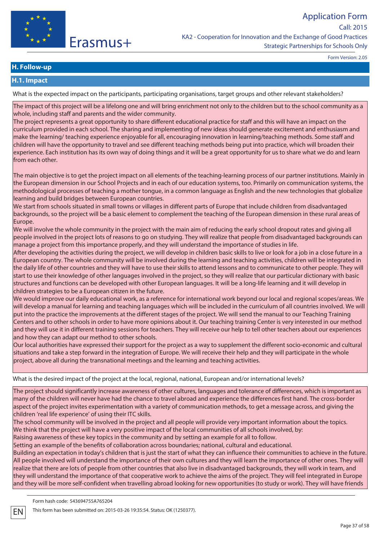

#### Form Version: 2.05

Application Form

#### **H. Follow-up**

#### **H.1. Impact**

What is the expected impact on the participants, participating organisations, target groups and other relevant stakeholders?

The impact of this project will be a lifelong one and will bring enrichment not only to the children but to the school community as a whole, including staff and parents and the wider community.

The project represents a great opportunity to share different educational practice for staff and this will have an impact on the curriculum provided in each school. The sharing and implementing of new ideas should generate excitement and enthusiasm and make the learning/ teaching experience enjoyable for all, encouraging innovation in learning/teaching methods. Some staff and children will have the opportunity to travel and see different teaching methods being put into practice, which will broaden their experience. Each institution has its own way of doing things and it will be a great opportunity for us to share what we do and learn from each other.

The main objective is to get the project impact on all elements of the teaching-learning process of our partner institutions. Mainly in the European dimension in our School Projects and in each of our education systems, too. Primarily on communication systems, the methodological processes of teaching a mother tongue, in a common language as English and the new technologies that globalize learning and build bridges between European countries.

We start from schools situated in small towns or villages in different parts of Europe that include children from disadvantaged backgrounds, so the project will be a basic element to complement the teaching of the European dimension in these rural areas of Europe.

We will involve the whole community in the project with the main aim of reducing the early school dropout rates and giving all people involved in the project lots of reasons to go on studying. They will realize that people from disadvantaged backgrounds can manage a project from this importance properly, and they will understand the importance of studies in life.

After developing the activities during the project, we will develop in children basic skills to live or look for a job in a close future in a European country. The whole community will be involved during the learning and teaching activities, children will be integrated in the daily life of other countries and they will have to use their skills to attend lessons and to communicate to other people. They will start to use their knowledge of other languages involved in the project, so they will realize that our particular dictionary with basic structures and functions can be developed with other European languages. It will be a long-life learning and it will develop in children strategies to be a European citizen in the future.

We would improve our daily educational work, as a reference for international work beyond our local and regional scopes/areas. We will develop a manual for learning and teaching languages which will be included in the curriculum of all countries involved. We will put into the practice the improvements at the different stages of the project. We will send the manual to our Teaching Training Centers and to other schools in order to have more opinions about it. Our teaching training Center is very interested in our method and they will use it in different training sessions for teachers. They will receive our help to tell other teachers about our experiences and how they can adapt our method to other schools.

Our local authorities have expressed their support for the project as a way to supplement the different socio-economic and cultural situations and take a step forward in the integration of Europe. We will receive their help and they will participate in the whole project, above all during the transnational meetings and the learning and teaching activities.

What is the desired impact of the project at the local, regional, national, European and/or international levels?

The project should significantly increase awareness of other cultures, languages and tolerance of differences, which is important as many of the children will never have had the chance to travel abroad and experience the differences first hand. The cross-border aspect of the project invites experimentation with a variety of communication methods, to get a message across, and giving the children 'real life experience' of using their ITC skills.

The school community will be involved in the project and all people will provide very important information about the topics.

We think that the project will have a very positive impact of the local communities of all schools involved, by:

Raising awareness of these key topics in the community and by setting an example for all to follow.

Setting an example of the benefits of collaboration across boundaries; national, cultural and educational.

Building an expectation in today's children that is just the start of what they can influence their communities to achieve in the future. All people involved will understand the importance of their own cultures and they will learn the importance of other ones. They will realize that there are lots of people from other countries that also live in disadvantaged backgrounds, they will work in team, and they will understand the importance of that cooperative work to achieve the aims of the project. They will feel integrated in Europe and they will be more self-confident when travelling abroad looking for new opportunities (to study or work). They will have friends

Form hash code: 543694755A765204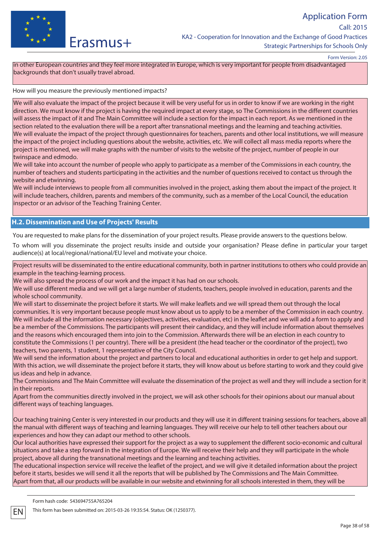Call: 2015



KA2 - Cooperation for Innovation and the Exchange of Good Practices Strategic Partnerships for Schools Only

Form Version: 2.05

in other European countries and they feel more integrated in Europe, which is very important for people from disadvantaged backgrounds that don't usually travel abroad.

How will you measure the previously mentioned impacts?

We will also evaluate the impact of the project because it will be very useful for us in order to know if we are working in the right direction. We must know if the project is having the required impact at every stage, so The Commissions in the different countries will assess the impact of it and The Main Committee will include a section for the impact in each report. As we mentioned in the section related to the evaluation there will be a report after transnational meetings and the learning and teaching activities. We will evaluate the impact of the project through questionnaires for teachers, parents and other local institutions, we will measure the impact of the project including questions about the website, activities, etc. We will collect all mass media reports where the project is mentioned, we will make graphs with the number of visits to the website of the project, number of people in our twinspace and edmodo.

We will take into account the number of people who apply to participate as a member of the Commissions in each country, the number of teachers and students participating in the activities and the number of questions received to contact us through the website and etwinning.

We will include interviews to people from all communities involved in the project, asking them about the impact of the project. It will include teachers, children, parents and members of the community, such as a member of the Local Council, the education inspector or an advisor of the Teaching Training Center.

# **H.2. Dissemination and Use of Projects' Results**

You are requested to make plans for the dissemination of your project results. Please provide answers to the questions below.

To whom will you disseminate the project results inside and outside your organisation? Please define in particular your target audience(s) at local/regional/national/EU level and motivate your choice.

Project results will be disseminated to the entire educational community, both in partner institutions to others who could provide an example in the teaching-learning process.

We will also spread the process of our work and the impact it has had on our schools.

We will use different media and we will get a large number of students, teachers, people involved in education, parents and the whole school community.

We will start to disseminate the project before it starts. We will make leaflets and we will spread them out through the local communities. It is very important because people must know about us to apply to be a member of the Commission in each country. We will include all the information necessary (objectives, activities, evaluation, etc) in the leaflet and we will add a form to apply and be a member of the Commissions. The participants will present their candidacy, and they will include information about themselves and the reasons which encouraged them into join to the Commission. Afterwards there will be an election in each country to constitute the Commissions (1 per country). There will be a president (the head teacher or the coordinator of the project), two teachers, two parents, 1 student, 1 representative of the City Council.

We will send the information about the project and partners to local and educational authorities in order to get help and support. With this action, we will disseminate the project before it starts, they will know about us before starting to work and they could give us ideas and help in advance.

The Commissions and The Main Committee will evaluate the dissemination of the project as well and they will include a section for it in their reports.

Apart from the communities directly involved in the project, we will ask other schools for their opinions about our manual about different ways of teaching languages.

Our teaching training Center is very interested in our products and they will use it in different training sessions for teachers, above all the manual with different ways of teaching and learning languages. They will receive our help to tell other teachers about our experiences and how they can adapt our method to other schools.

Our local authorities have expressed their support for the project as a way to supplement the different socio-economic and cultural situations and take a step forward in the integration of Europe. We will receive their help and they will participate in the whole project, above all during the transnational meetings and the learning and teaching activities.

The educational inspection service will receive the leaflet of the project, and we will give it detailed information about the project before it starts, besides we will send it all the reports that will be published by The Commissions and The Main Committee. Apart from that, all our products will be available in our website and etwinning for all schools interested in them, they will be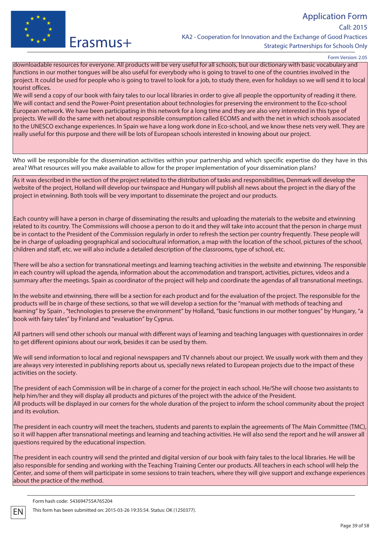

Call: 2015 KA2 - Cooperation for Innovation and the Exchange of Good Practices Strategic Partnerships for Schools Only

Form Version: 2.05

downloadable resources for everyone. All products will be very useful for all schools, but our dictionary with basic vocabulary and functions in our mother tongues will be also useful for everybody who is going to travel to one of the countries involved in the project. It could be used for people who is going to travel to look for a job, to study there, even for holidays so we will send it to local tourist offices.

We will send a copy of our book with fairy tales to our local libraries in order to give all people the opportunity of reading it there. We will contact and send the Power-Point presentation about technologies for preserving the environment to the Eco-school European network. We have been participating in this network for a long time and they are also very interested in this type of projects. We will do the same with net about responsible consumption called ECOMS and with the net in which schools associated to the UNESCO exchange experiences. In Spain we have a long work done in Eco-school, and we know these nets very well. They are really useful for this purpose and there will be lots of European schools interested in knowing about our project.

Who will be responsible for the dissemination activities within your partnership and which specific expertise do they have in this area? What resources will you make available to allow for the proper implementation of your dissemination plans?

As it was described in the section of the project related to the distribution of tasks and responsibilities, Denmark will develop the website of the project, Holland will develop our twinspace and Hungary will publish all news about the project in the diary of the project in etwinning. Both tools will be very important to disseminate the project and our products.

Each country will have a person in charge of disseminating the results and uploading the materials to the website and etwinning related to its country. The Commissions will choose a person to do it and they will take into account that the person in charge must be in contact to the President of the Commission regularly in order to refresh the section per country frequently. These people will be in charge of uploading geographical and sociocultural information, a map with the location of the school, pictures of the school, children and staff, etc. we will also include a detailed description of the classrooms, type of school, etc.

There will be also a section for transnational meetings and learning teaching activities in the website and etwinning. The responsible in each country will upload the agenda, information about the accommodation and transport, activities, pictures, videos and a summary after the meetings. Spain as coordinator of the project will help and coordinate the agendas of all transnational meetings.

In the website and etwinning, there will be a section for each product and for the evaluation of the project. The responsible for the products will be in charge of these sections, so that we will develop a section for the "manual with methods of teaching and learning" by Spain , "technologies to preserve the environment" by Holland, "basic functions in our mother tongues" by Hungary, "a book with fairy tales" by Finland and "evaluation" by Cyprus.

All partners will send other schools our manual with different ways of learning and teaching languages with questionnaires in order to get different opinions about our work, besides it can be used by them.

We will send information to local and regional newspapers and TV channels about our project. We usually work with them and they are always very interested in publishing reports about us, specially news related to European projects due to the impact of these activities on the society.

The president of each Commission will be in charge of a corner for the project in each school. He/She will choose two assistants to help him/her and they will display all products and pictures of the project with the advice of the President. All products will be displayed in our corners for the whole duration of the project to inform the school community about the project and its evolution.

The president in each country will meet the teachers, students and parents to explain the agreements of The Main Committee (TMC), so it will happen after transnational meetings and learning and teaching activities. He will also send the report and he will answer all  $\alpha$  auestions required by the educational inspection.

The president in each country will send the printed and digital version of our book with fairy tales to the local libraries. He will be also responsible for sending and working with the Teaching Training Center our products. All teachers in each school will help the Center, and some of them will participate in some sessions to train teachers, where they will give support and exchange experiences about the practice of the method.

Form hash code: 543694755A765204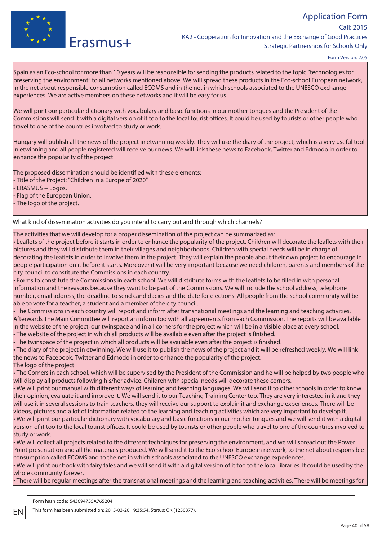

Call: 2015 KA2 - Cooperation for Innovation and the Exchange of Good Practices Strategic Partnerships for Schools Only

Form Version: 2.05

Spain as an Eco-school for more than 10 years will be responsible for sending the products related to the topic "technologies for preserving the environment" to all networks mentioned above. We will spread these products in the Eco-school European network, in the net about responsible consumption called ECOMS and in the net in which schools associated to the UNESCO exchange experiences. We are active members on these networks and it will be easy for us.

We will print our particular dictionary with vocabulary and basic functions in our mother tongues and the President of the Commissions will send it with a digital version of it too to the local tourist offices. It could be used by tourists or other people who travel to one of the countries involved to study or work.

Hungary will publish all the news of the project in etwinning weekly. They will use the diary of the project, which is a very useful tool in etwinning and all people registered will receive our news. We will link these news to Facebook, Twitter and Edmodo in order to enhance the popularity of the project.

The proposed dissemination should be identified with these elements:

- Title of the Project: "Children in a Europe of 2020"

ERASMUS + Logos.

- Flag of the European Union.

- The logo of the project.

What kind of dissemination activities do you intend to carry out and through which channels?

The activities that we will develop for a proper dissemination of the project can be summarized as:

• Leaflets of the project before it starts in order to enhance the popularity of the project. Children will decorate the leaflets with their pictures and they will distribute them in their villages and neighborhoods. Children with special needs will be in charge of decorating the leaflets in order to involve them in the project. They will explain the people about their own project to encourage in people participation on it before it starts. Moreover it will be very important because we need children, parents and members of the city council to constitute the Commissions in each country.

• Forms to constitute the Commissions in each school. We will distribute forms with the leaflets to be filled in with personal information and the reasons because they want to be part of the Commissions. We will include the school address, telephone number, email address, the deadline to send candidacies and the date for elections. All people from the school community will be able to vote for a teacher, a student and a member of the city council.

• The Commissions in each country will report and inform after transnational meetings and the learning and teaching activities. Afterwards The Main Committee will report an inform too with all agreements from each Commission. The reports will be available in the website of the project, our twinspace and in all corners for the project which will be in a visible place at every school. • The website of the project in which all products will be available even after the project is finished.

• The twinspace of the project in which all products will be available even after the project is finished.

• The diary of the project in etwinning. We will use it to publish the news of the project and it will be refreshed weekly. We will link the news to Facebook, Twitter and Edmodo in order to enhance the popularity of the project. The logo of the project.

• The Corners in each school, which will be supervised by the President of the Commission and he will be helped by two people who will display all products following his/her advice. Children with special needs will decorate these corners.

• We will print our manual with different ways of learning and teaching languages. We will send it to other schools in order to know their opinion, evaluate it and improve it. We will send it to our Teaching Training Center too. They are very interested in it and they will use it in several sessions to train teachers, they will receive our support to explain it and exchange experiences. There will be videos, pictures and a lot of information related to the learning and teaching activities which are very important to develop it. • We will print our particular dictionary with vocabulary and basic functions in our mother tongues and we will send it with a digital version of it too to the local tourist offices. It could be used by tourists or other people who travel to one of the countries involved to study or work.

• We will collect all projects related to the different techniques for preserving the environment, and we will spread out the Power Point presentation and all the materials produced. We will send it to the Eco-school European network, to the net about responsible consumption called ECOMS and to the net in which schools associated to the UNESCO exchange experiences.

• We will print our book with fairy tales and we will send it with a digital version of it too to the local libraries. It could be used by the whole community forever.

• There will be regular meetings after the transnational meetings and the learning and teaching activities. There will be meetings for

Form hash code: 543694755A765204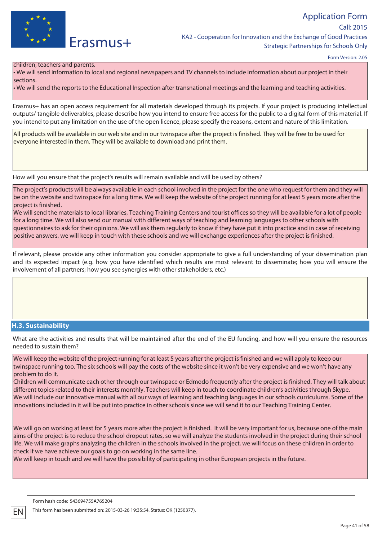Call: 2015

Form Version: 2.05



KA2 - Cooperation for Innovation and the Exchange of Good Practices

Strategic Partnerships for Schools Only

#### children, teachers and parents.

• We will send information to local and regional newspapers and TV channels to include information about our project in their sections.

• We will send the reports to the Educational Inspection after transnational meetings and the learning and teaching activities.

Erasmus+ has an open access requirement for all materials developed through its projects. If your project is producing intellectual outputs/ tangible deliverables, please describe how you intend to ensure free access for the public to a digital form of this material. If you intend to put any limitation on the use of the open licence, please specify the reasons, extent and nature of this limitation.

All products will be available in our web site and in our twinspace after the project is finished. They will be free to be used for everyone interested in them. They will be available to download and print them.

How will you ensure that the project's results will remain available and will be used by others?

The project's products will be always available in each school involved in the project for the one who request for them and they will be on the website and twinspace for a long time. We will keep the website of the project running for at least 5 years more after the project is finished.

We will send the materials to local libraries, Teaching Training Centers and tourist offices so they will be available for a lot of people for a long time. We will also send our manual with different ways of teaching and learning languages to other schools with questionnaires to ask for their opinions. We will ask them regularly to know if they have put it into practice and in case of receiving positive answers, we will keep in touch with these schools and we will exchange experiences after the project is finished.

If relevant, please provide any other information you consider appropriate to give a full understanding of your dissemination plan and its expected impact (e.g. how you have identified which results are most relevant to disseminate; how you will ensure the involvement of all partners; how you see synergies with other stakeholders, etc.)

### **H.3. Sustainability**

What are the activities and results that will be maintained after the end of the EU funding, and how will you ensure the resources needed to sustain them?

We will keep the website of the project running for at least 5 years after the project is finished and we will apply to keep our twinspace running too. The six schools will pay the costs of the website since it won't be very expensive and we won't have any problem to do it.

Children will communicate each other through our twinspace or Edmodo frequently after the project is finished. They will talk about different topics related to their interests monthly. Teachers will keep in touch to coordinate children's activities through Skype. We will include our innovative manual with all our ways of learning and teaching languages in our schools curriculums. Some of the innovations included in it will be put into practice in other schools since we will send it to our Teaching Training Center.

We will go on working at least for 5 years more after the project is finished. It will be very important for us, because one of the main aims of the project is to reduce the school dropout rates, so we will analyze the students involved in the project during their school life. We will make graphs analyzing the children in the schools involved in the project, we will focus on these children in order to check if we have achieve our goals to go on working in the same line.

We will keep in touch and we will have the possibility of participating in other European projects in the future.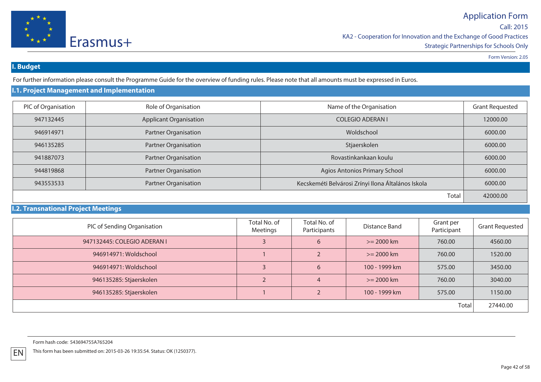

Form Version: 2.05



# **I. Budget**

For further information please consult the Programme Guide for the overview of funding rules. Please note that all amounts must be expressed in Euros.

# **I.1. Project Management and Implementation**

| PIC of Organisation | Role of Organisation          | Name of the Organisation                           | <b>Grant Requested</b> |
|---------------------|-------------------------------|----------------------------------------------------|------------------------|
| 947132445           | <b>Applicant Organisation</b> | <b>COLEGIO ADERAN I</b>                            | 12000.00               |
| 946914971           | <b>Partner Organisation</b>   | Woldschool                                         | 6000.00                |
| 946135285           | Partner Organisation          | Stjaerskolen                                       | 6000.00                |
| 941887073           | Partner Organisation          | Rovastinkankaan koulu                              | 6000.00                |
| 944819868           | <b>Partner Organisation</b>   | Agios Antonios Primary School                      | 6000.00                |
| 943553533           | <b>Partner Organisation</b>   | Kecskeméti Belvárosi Zrínyi Ilona Általános Iskola | 6000.00                |
|                     |                               | Total                                              | 42000.00               |

# **I.2. Transnational Project Meetings**

| PIC of Sending Organisation | Total No. of<br>Meetings | Total No. of<br>Participants | Distance Band | Grant per<br>Participant | <b>Grant Requested</b> |  |
|-----------------------------|--------------------------|------------------------------|---------------|--------------------------|------------------------|--|
| 947132445: COLEGIO ADERAN I |                          | 6                            | $>= 2000$ km  | 760.00                   | 4560.00                |  |
| 946914971: Woldschool       |                          |                              | $>= 2000$ km  | 760.00                   | 1520.00                |  |
| 946914971: Woldschool       |                          | 6                            | 100 - 1999 km | 575.00                   | 3450.00                |  |
| 946135285: Stjaerskolen     |                          | $\overline{4}$               | $>= 2000$ km  | 760.00                   | 3040.00                |  |
| 946135285: Stjaerskolen     |                          | $\mathcal{D}$                | 100 - 1999 km | 575.00                   | 1150.00                |  |
| Total                       |                          |                              |               |                          |                        |  |

Form hash code: 543694755A765204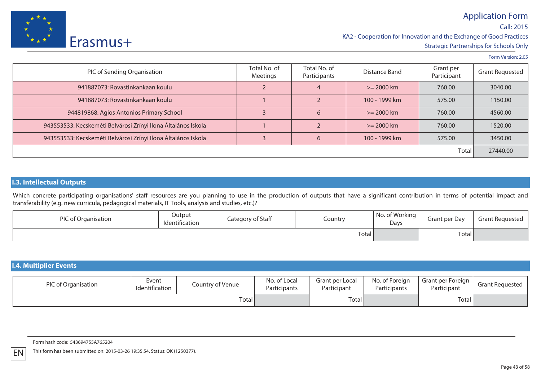

 KA2 - Cooperation for Innovation and the Exchange of Good PracticesStrategic Partnerships for Schools Only

Form Version: 2.05

Call: 2015

| PIC of Sending Organisation                                   | Total No. of<br>Meetings | Total No. of<br>Participants | Distance Band | Grant per<br>Participant | <b>Grant Requested</b> |  |
|---------------------------------------------------------------|--------------------------|------------------------------|---------------|--------------------------|------------------------|--|
| 941887073: Rovastinkankaan koulu                              |                          | 4                            | $>= 2000$ km  | 760.00                   | 3040.00                |  |
| 941887073: Rovastinkankaan koulu                              |                          |                              | 100 - 1999 km | 575.00                   | 1150.00                |  |
| 944819868: Agios Antonios Primary School                      |                          | 6                            | $>= 2000$ km  | 760.00                   | 4560.00                |  |
| 943553533: Kecskeméti Belvárosi Zrínyi Ilona Általános Iskola |                          |                              | $>= 2000$ km  | 760.00                   | 1520.00                |  |
| 943553533: Kecskeméti Belvárosi Zrínyi Ilona Általános Iskola |                          | 6                            | 100 - 1999 km | 575.00                   | 3450.00                |  |
| Total l                                                       |                          |                              |               |                          |                        |  |

# **I.3. Intellectual Outputs**

Which concrete participating organisations' staff resources are you planning to use in the production of outputs that have a significant contribution in terms of potential impact and transferability (e.g. new curricula, pedagogical materials, IT Tools, analysis and studies, etc.)?

| DIC<br>of Organisation<br>יי | Output<br>Identification | Category of Staff | Country      | of Working<br>No. of<br>Days | <b>Grant per Day</b> | t Reauested<br>Grant |
|------------------------------|--------------------------|-------------------|--------------|------------------------------|----------------------|----------------------|
|                              |                          |                   | <b>Total</b> |                              | Total                |                      |

| <b>I.4. Multiplier Events</b> |                         |                  |                              |                                |                                |                                  |                 |  |  |
|-------------------------------|-------------------------|------------------|------------------------------|--------------------------------|--------------------------------|----------------------------------|-----------------|--|--|
| PIC of Organisation           | Event<br>Identification | Country of Venue | No. of Local<br>Participants | Grant per Local<br>Participant | No. of Foreign<br>Participants | Grant per Foreign<br>Participant | Grant Requested |  |  |
|                               |                         | Total            |                              | Total                          |                                | Total                            |                 |  |  |

EN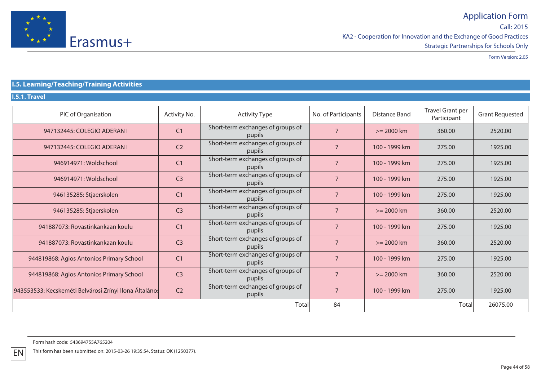

Call: 2015

KA2 - Cooperation for Innovation and the Exchange of Good Practices

Strategic Partnerships for Schools Only

Form Version: 2.05

# **I.5. Learning/Teaching/Training Activities**

# **I.5.1. Travel**

| PIC of Organisation                                    | Activity No.   | <b>Activity Type</b>                        | No. of Participants | Distance Band | Travel Grant per<br>Participant | <b>Grant Requested</b> |
|--------------------------------------------------------|----------------|---------------------------------------------|---------------------|---------------|---------------------------------|------------------------|
| 947132445: COLEGIO ADERAN I                            | C <sub>1</sub> | Short-term exchanges of groups of<br>pupils | $\overline{7}$      | $>= 2000$ km  | 360.00                          | 2520.00                |
| 947132445: COLEGIO ADERAN I                            | C <sub>2</sub> | Short-term exchanges of groups of<br>pupils | $\overline{7}$      | 100 - 1999 km | 275.00                          | 1925.00                |
| 946914971: Woldschool                                  | C <sub>1</sub> | Short-term exchanges of groups of<br>pupils | $\overline{7}$      | 100 - 1999 km | 275.00                          | 1925.00                |
| 946914971: Woldschool                                  | C <sub>3</sub> | Short-term exchanges of groups of<br>pupils | $\overline{7}$      | 100 - 1999 km | 275.00                          | 1925.00                |
| 946135285: Stjaerskolen                                | C <sub>1</sub> | Short-term exchanges of groups of<br>pupils | $\overline{7}$      | 100 - 1999 km | 275.00                          | 1925.00                |
| 946135285: Stjaerskolen                                | C <sub>3</sub> | Short-term exchanges of groups of<br>pupils | $\overline{7}$      | $>= 2000$ km  | 360.00                          | 2520.00                |
| 941887073: Rovastinkankaan koulu                       | C <sub>1</sub> | Short-term exchanges of groups of<br>pupils | $\overline{7}$      | 100 - 1999 km | 275.00                          | 1925.00                |
| 941887073: Rovastinkankaan koulu                       | C <sub>3</sub> | Short-term exchanges of groups of<br>pupils | $\overline{7}$      | $>= 2000$ km  | 360.00                          | 2520.00                |
| 944819868: Agios Antonios Primary School               | C <sub>1</sub> | Short-term exchanges of groups of<br>pupils | $\overline{7}$      | 100 - 1999 km | 275.00                          | 1925.00                |
| 944819868: Agios Antonios Primary School               | C <sub>3</sub> | Short-term exchanges of groups of<br>pupils | $\overline{7}$      | $>= 2000$ km  | 360.00                          | 2520.00                |
| 943553533: Kecskeméti Belvárosi Zrínyi Ilona Általános | C <sub>2</sub> | Short-term exchanges of groups of<br>pupils | $\overline{7}$      | 100 - 1999 km | 275.00                          | 1925.00                |
|                                                        | Total          |                                             |                     |               |                                 | 26075.00               |

Form hash code: 543694755A765204

EN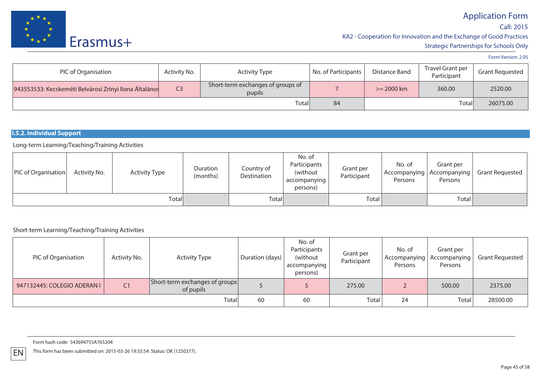

Call: 2015

KA2 - Cooperation for Innovation and the Exchange of Good Practices

Strategic Partnerships for Schools Only

Form Version: 2.05

| PIC of Organisation                                    | Activity No.   | <b>Activity Type</b>                        | No. of Participants | Distance Band | Travel Grant per<br>Participant | <b>Grant Requested</b> |
|--------------------------------------------------------|----------------|---------------------------------------------|---------------------|---------------|---------------------------------|------------------------|
| 943553533: Kecskeméti Belvárosi Zrínyi Ilona Általános | C <sub>3</sub> | Short-term exchanges of groups of<br>pupils |                     | $>= 2000$ km  | 360.00                          | 2520.00                |
|                                                        | Total<br>84    |                                             | Totall              | 26075.00      |                                 |                        |

# **I.5.2. Individual Support**

Long-term Learning/Teaching/Training Activities

| PIC of Organisation | Activity No. | <b>Activity Type</b> | Duration<br>(months) | Country of<br>Destination | No. of<br>Participants<br>(without)<br>accompanying  <br>persons) | Grant per<br>Participant | No. of<br>Accompanying<br>Persons | Grant per<br>Accompanying<br>Persons | Grant Requested |
|---------------------|--------------|----------------------|----------------------|---------------------------|-------------------------------------------------------------------|--------------------------|-----------------------------------|--------------------------------------|-----------------|
|                     |              | Total                |                      | Total                     |                                                                   | Total                    |                                   | Total                                |                 |

#### Short-term Learning/Teaching/Training Activities

| PIC of Organisation         | Activity No.   | <b>Activity Type</b>                        | Duration (days) | No. of<br>Participants<br>(without<br>accompanying<br>persons) | Grant per<br>Participant | No. of<br>Accompanying<br>Persons | Grant per<br>Accompanying<br>Persons | <b>Grant Requested</b> |
|-----------------------------|----------------|---------------------------------------------|-----------------|----------------------------------------------------------------|--------------------------|-----------------------------------|--------------------------------------|------------------------|
| 947132445: COLEGIO ADERAN I | C <sub>1</sub> | Short-term exchanges of groups<br>of pupils |                 |                                                                | 275.00                   |                                   | 500.00                               | 2375.00                |
|                             |                | Totall                                      | 60              | 60                                                             | Total                    | 24                                | Total                                | 28500.00               |

Form hash code: 543694755A765204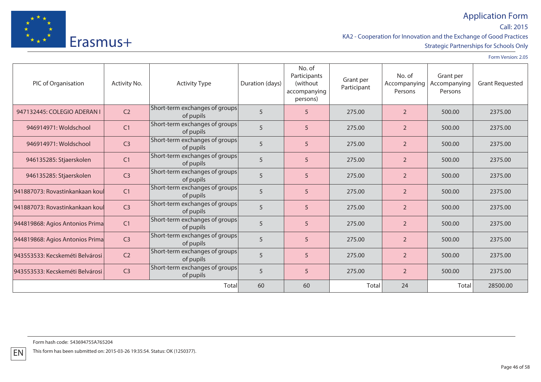

Call: 2015

KA2 - Cooperation for Innovation and the Exchange of Good Practices

Strategic Partnerships for Schools Only

Form Version: 2.05

| PIC of Organisation             | Activity No.   | <b>Activity Type</b>                        | Duration (days) | No. of<br>Participants<br>(without<br>accompanying<br>persons) | Grant per<br>Participant | No. of<br>Accompanying<br>Persons | Grant per<br>Accompanying<br>Persons | <b>Grant Requested</b> |
|---------------------------------|----------------|---------------------------------------------|-----------------|----------------------------------------------------------------|--------------------------|-----------------------------------|--------------------------------------|------------------------|
| 947132445: COLEGIO ADERAN I     | C <sub>2</sub> | Short-term exchanges of groups<br>of pupils | 5               | 5                                                              | 275.00                   | $\overline{2}$                    | 500.00                               | 2375.00                |
| 946914971: Woldschool           | C <sub>1</sub> | Short-term exchanges of groups<br>of pupils | 5               | 5                                                              | 275.00                   | $\overline{2}$                    | 500.00                               | 2375.00                |
| 946914971: Woldschool           | C <sub>3</sub> | Short-term exchanges of groups<br>of pupils | 5               | 5                                                              | 275.00                   | $\overline{2}$                    | 500.00                               | 2375.00                |
| 946135285: Stjaerskolen         | C <sub>1</sub> | Short-term exchanges of groups<br>of pupils | 5               | 5                                                              | 275.00                   | $\overline{2}$                    | 500.00                               | 2375.00                |
| 946135285: Stjaerskolen         | C <sub>3</sub> | Short-term exchanges of groups<br>of pupils | 5               | 5                                                              | 275.00                   | $\overline{2}$                    | 500.00                               | 2375.00                |
| 941887073: Rovastinkankaan koul | C <sub>1</sub> | Short-term exchanges of groups<br>of pupils | 5               | 5                                                              | 275.00                   | $\overline{2}$                    | 500.00                               | 2375.00                |
| 941887073: Rovastinkankaan koul | C <sub>3</sub> | Short-term exchanges of groups<br>of pupils | 5               | 5                                                              | 275.00                   | $\overline{2}$                    | 500.00                               | 2375.00                |
| 944819868: Agios Antonios Prima | C <sub>1</sub> | Short-term exchanges of groups<br>of pupils | 5               | 5                                                              | 275.00                   | $\overline{2}$                    | 500.00                               | 2375.00                |
| 944819868: Agios Antonios Prima | C <sub>3</sub> | Short-term exchanges of groups<br>of pupils | 5               | 5                                                              | 275.00                   | $\overline{2}$                    | 500.00                               | 2375.00                |
| 943553533: Kecskeméti Belvárosi | C <sub>2</sub> | Short-term exchanges of groups<br>of pupils | 5               | 5                                                              | 275.00                   | $\overline{2}$                    | 500.00                               | 2375.00                |
| 943553533: Kecskeméti Belvárosi | C <sub>3</sub> | Short-term exchanges of groups<br>of pupils | 5               | 5                                                              | 275.00                   | $\overline{2}$                    | 500.00                               | 2375.00                |
| Total                           |                |                                             | 60              | 60                                                             | Total                    | 24                                | Total                                | 28500.00               |

EN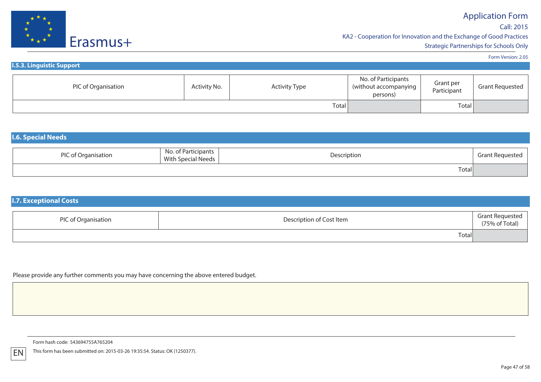

#### Call: 2015

 KA2 - Cooperation for Innovation and the Exchange of Good PracticesStrategic Partnerships for Schools Only

Form Version: 2.05**I.5.3. Linguistic Support**PIC of OrganisationActivity No. | Activity Type No. of Participants (without accompanying persons)Grant per Participant Grant Requested TotalTotal

# **I.6. Special Needs**PIC of Organisation No. of Participants With Special NeedsSolution September 2021 and Description September 2021 and September 2021 and September 2021 and September 202<br>Solution September 2022 and September 2022 and September 2022 and September 2022 and September 2023 and Septem Total

| <b>I.7. Exceptional Costs</b> |                          |                                                     |  |  |  |  |
|-------------------------------|--------------------------|-----------------------------------------------------|--|--|--|--|
| PIC of Organisation           | Description of Cost Item | <b>Grant Requested</b><br>$(75\% \text{ of Total})$ |  |  |  |  |
|                               | Total                    |                                                     |  |  |  |  |

Please provide any further comments you may have concerning the above entered budget.

Form hash code: 543694755A765204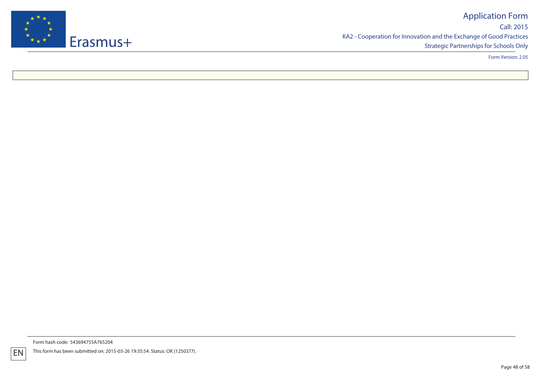

 Call: 2015 KA2 - Cooperation for Innovation and the Exchange of Good PracticesStrategic Partnerships for Schools Only

Form Version: 2.05

Form hash code: 543694755A765204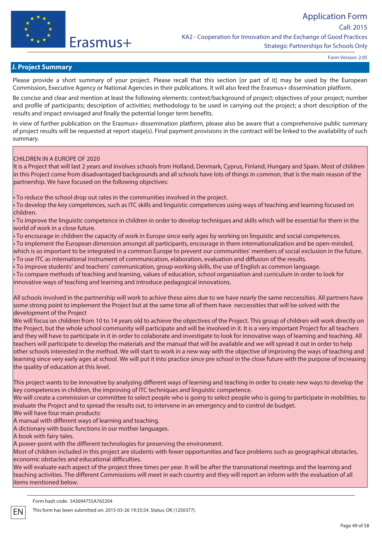

#### Form Version: 2.05

Application Form

# **J. Project Summary**

Please provide a short summary of your project. Please recall that this section [or part of it] may be used by the European Commission, Executive Agency or National Agencies in their publications. It will also feed the Erasmus+ dissemination platform.

Be concise and clear and mention at least the following elements: context/background of project; objectives of your project; number and profile of participants; description of activities; methodology to be used in carrying out the project; a short description of the results and impact envisaged and finally the potential longer term benefits.

In view of further publication on the Erasmus+ dissemination platform, please also be aware that a comprehensive public summary of project results will be requested at report stage(s). Final payment provisions in the contract will be linked to the availability of such summary.

#### CHILDREN IN A EUROPE OF 2020

It is a Project that will last 2 years and involves schools from Holland, Denmark, Cyprus, Finland, Hungary and Spain. Most of children in this Project come from disadvantaged backgrounds and all schools have lots of things in common, that is the main reason of the partnership. We have focused on the following objectives:

• To reduce the school drop out rates in the communities involved in the project.

• To develop the key competences, such as ITC skills and linguistic competences using ways of teaching and learning focused on children.

• To improve the linguistic competence in children in order to develop techniques and skills which will be essential for them in the world of work in a close future.

• To encourage in children the capacity of work in Europe since early ages by working on linguistic and social competences.

• To implement the European dimension amongst all participants, encourage in them internationalization and be open-minded, which is so important to be integrated in a common Europe to prevent our communities' members of social exclusion in the future. • To use ITC as international instrument of communication, elaboration, evaluation and diffusion of the results.

• To improve students' and teachers' communication, group working skills, the use of English as common language.

• To compare methods of teaching and learning, values of education, school organization and curriculum in order to look for innovative ways of teaching and learning and introduce pedagogical innovations.

All schools involved in the partnership will work to achive these aims due to we have nearly the same neccessities. All partners have some strong point to implement the Project but at the same time all of them have neccessities that will be solved with the development of the Project

We will focus on children from 10 to 14 years old to achieve the objectives of the Project. This group of children will work directly on the Project, but the whole school community will participate and will be involved in it. It is a very important Project for all teachers and they will have to participate in it in order to colaborate and investigate to look for innovative ways of learning and teaching. All teachers will participate to develop the materials and the manual that will be available and we will spread it out in order to help other schools interested in the method. We will start to work in a new way with the objective of improving the ways of teaching and learning since very early ages at school. We will put it into practice since pre school in the close future with the purpose of increasing the quality of education at this level.

This project wants to be innovative by analyzing different ways of learning and teaching in order to create new ways to develop the key competences in children, the improving of ITC techniques and linguistic competence.

We will create a commission or committee to select people who is going to select people who is going to participate in mobilities, to evaluate the Project and to spread the results out, to intervene in an emergency and to control de budget.

We will have four main products:

A manual with different ways of learning and teaching.

A dictionary with basic functions in our mother languages.

A book with fairy tales.

A power-point with the different technologies for preserving the environment.

Most of children included in this project are students with fewer opportunities and face problems such as geographical obstacles, economic obstacles and educational difficulties.

We will evaluate each aspect of the project three times per year. It will be after the transnational meetings and the learning and teaching activities. The different Commissions will meet in each country and they will report an inform with the evaluation of all items mentioned below.

Form hash code: 543694755A765204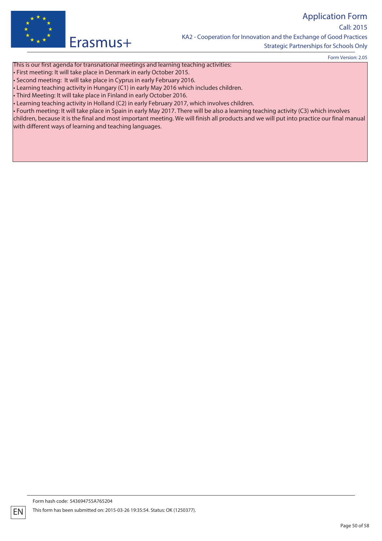

Call: 2015 KA2 - Cooperation for Innovation and the Exchange of Good Practices Strategic Partnerships for Schools Only

Form Version: 2.05

#### This is our first agenda for transnational meetings and learning teaching activities:

• First meeting: It will take place in Denmark in early October 2015.

• Second meeting: It will take place in Cyprus in early February 2016.

• Learning teaching activity in Hungary (C1) in early May 2016 which includes children.

• Third Meeting: It will take place in Finland in early October 2016.

• Learning teaching activity in Holland (C2) in early February 2017, which involves children.

• Fourth meeting: It will take place in Spain in early May 2017. There will be also a learning teaching activity (C3) which involves

children, because it is the final and most important meeting. We will finish all products and we will put into practice our final manual with different ways of learning and teaching languages.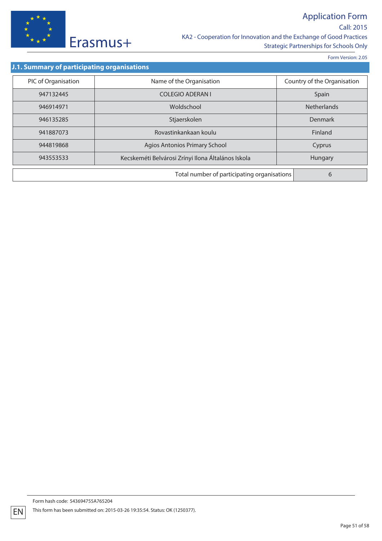

Call: 2015



KA2 - Cooperation for Innovation and the Exchange of Good Practices Strategic Partnerships for Schools Only

Form Version: 2.05

| J.1. Summary of participating organisations |  |  |
|---------------------------------------------|--|--|
|                                             |  |  |

| PIC of Organisation | Name of the Organisation                         | Country of the Organisation |
|---------------------|--------------------------------------------------|-----------------------------|
| 947132445           | <b>COLEGIO ADERAN I</b><br>Spain                 |                             |
| 946914971           | Woldschool                                       | <b>Netherlands</b>          |
| 946135285           | Stjaerskolen                                     | <b>Denmark</b>              |
| 941887073           | Rovastinkankaan koulu                            | Finland                     |
| 944819868           | Agios Antonios Primary School                    |                             |
| 943553533           | <b>Hungary</b>                                   |                             |
|                     | Total number of participating organisations<br>6 |                             |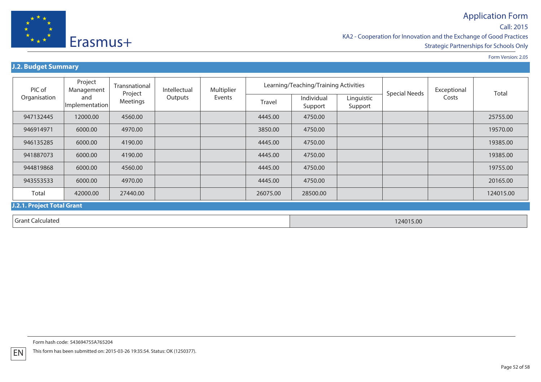



# **J.2. Budget Summary**

Form Version: 2.05

Call: 2015

| PIC of                            | Project<br>Management | Transnational       | Intellectual | Multiplier<br>Events<br>Travel |          | Learning/Teaching/Training Activities |                       | <b>Special Needs</b> | Exceptional<br>Costs | Total     |
|-----------------------------------|-----------------------|---------------------|--------------|--------------------------------|----------|---------------------------------------|-----------------------|----------------------|----------------------|-----------|
| Organisation                      | and<br>Implementation | Project<br>Meetings | Outputs      |                                |          | Individual<br>Support                 | Linguistic<br>Support |                      |                      |           |
| 947132445                         | 12000.00              | 4560.00             |              |                                | 4445.00  | 4750.00                               |                       |                      |                      | 25755.00  |
| 946914971                         | 6000.00               | 4970.00             |              |                                | 3850.00  | 4750.00                               |                       |                      |                      | 19570.00  |
| 946135285                         | 6000.00               | 4190.00             |              |                                | 4445.00  | 4750.00                               |                       |                      |                      | 19385.00  |
| 941887073                         | 6000.00               | 4190.00             |              |                                | 4445.00  | 4750.00                               |                       |                      |                      | 19385.00  |
| 944819868                         | 6000.00               | 4560.00             |              |                                | 4445.00  | 4750.00                               |                       |                      |                      | 19755.00  |
| 943553533                         | 6000.00               | 4970.00             |              |                                | 4445.00  | 4750.00                               |                       |                      |                      | 20165.00  |
| Total                             | 42000.00              | 27440.00            |              |                                | 26075.00 | 28500.00                              |                       |                      |                      | 124015.00 |
| <b>J.2.1. Project Total Grant</b> |                       |                     |              |                                |          |                                       |                       |                      |                      |           |
| <b>Grant Calculated</b>           |                       |                     |              |                                |          | 124015.00                             |                       |                      |                      |           |

Form hash code: 543694755A765204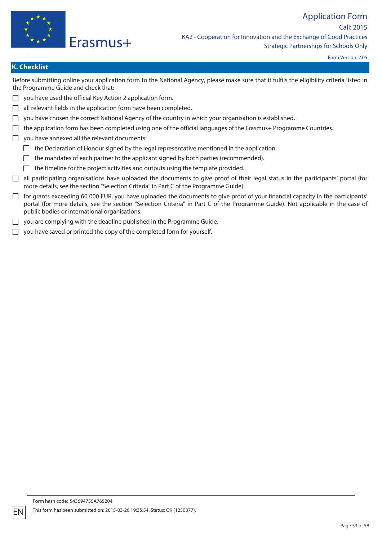

Form Version: 2.05

# **K. Checklist**

Before submitting online your application form to the National Agency, please make sure that it fulfils the eligibility criteria listed in the Programme Guide and check that:

- $\Box$  you have used the official Key Action 2 application form.
- all relevant fields in the application form have been completed.  $\Box$
- $\Box$  you have chosen the correct National Agency of the country in which your organisation is established.
- $\Box$  the application form has been completed using one of the official languages of the Erasmus+ Programme Countries.
- $\Box$  vou have annexed all the relevant documents:
	- $\Box$  the Declaration of Honour signed by the legal representative mentioned in the application.
	- $\Box$  the mandates of each partner to the applicant signed by both parties (recommended).
	- $\Box$  the timeline for the project activities and outputs using the template provided.
- $\Box$  all participating organisations have uploaded the documents to give proof of their legal status in the participants' portal (for more details, see the section "Selection Criteria" in Part C of the Programme Guide).
- $\Box$  for grants exceeding 60 000 EUR, you have uploaded the documents to give proof of your financial capacity in the participants' portal (for more details, see the section "Selection Criteria" in Part C of the Programme Guide). Not applicable in the case of public bodies or international organisations.
- $\Box$  you are complying with the deadline published in the Programme Guide.
- $\Box$  you have saved or printed the copy of the completed form for yourself.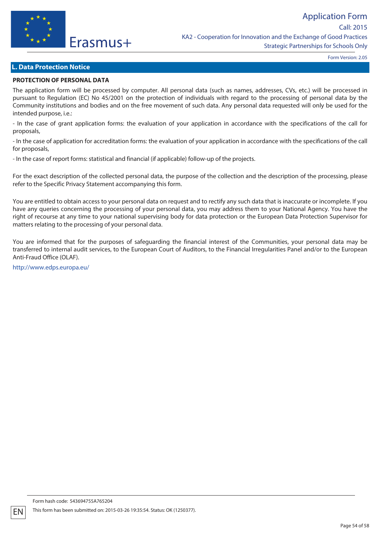

#### Form Version: 2.05

Application Form

# **L. Data Protection Notice**

#### **PROTECTION OF PERSONAL DATA**

The application form will be processed by computer. All personal data (such as names, addresses, CVs, etc.) will be processed in pursuant to Regulation (EC) No 45/2001 on the protection of individuals with regard to the processing of personal data by the Community institutions and bodies and on the free movement of such data. Any personal data requested will only be used for the intended purpose, i.e.:

- In the case of grant application forms: the evaluation of your application in accordance with the specifications of the call for proposals,

- In the case of application for accreditation forms: the evaluation of your application in accordance with the specifications of the call for proposals,

- In the case of report forms: statistical and financial (if applicable) follow-up of the projects.

For the exact description of the collected personal data, the purpose of the collection and the description of the processing, please refer to the Specific Privacy Statement accompanying this form.

You are entitled to obtain access to your personal data on request and to rectify any such data that is inaccurate or incomplete. If you have any queries concerning the processing of your personal data, you may address them to your National Agency. You have the right of recourse at any time to your national supervising body for data protection or the European Data Protection Supervisor for matters relating to the processing of your personal data.

You are informed that for the purposes of safeguarding the financial interest of the Communities, your personal data may be transferred to internal audit services, to the European Court of Auditors, to the Financial Irregularities Panel and/or to the European Anti-Fraud Office (OLAF).

http://www.edps.europa.eu/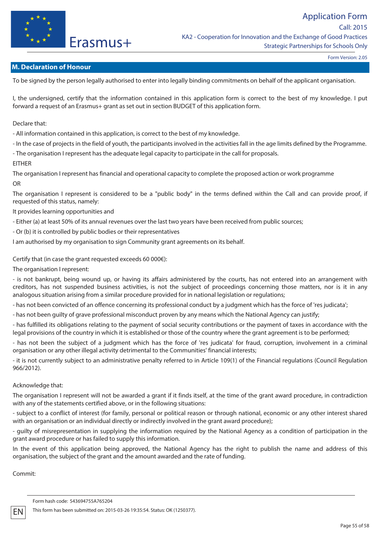

Form Version: 2.05

# **M. Declaration of Honour**

To be signed by the person legally authorised to enter into legally binding commitments on behalf of the applicant organisation.

I, the undersigned, certify that the information contained in this application form is correct to the best of my knowledge. I put forward a request of an Erasmus+ grant as set out in section BUDGET of this application form.

Declare that:

- All information contained in this application, is correct to the best of my knowledge.

- In the case of projects in the field of youth, the participants involved in the activities fall in the age limits defined by the Programme.

- The organisation I represent has the adequate legal capacity to participate in the call for proposals.

#### EITHER

The organisation I represent has financial and operational capacity to complete the proposed action or work programme OR

The organisation I represent is considered to be a "public body" in the terms defined within the Call and can provide proof, if requested of this status, namely:

It provides learning opportunities and

- Either (a) at least 50% of its annual revenues over the last two years have been received from public sources;

- Or (b) it is controlled by public bodies or their representatives

I am authorised by my organisation to sign Community grant agreements on its behalf.

#### Certify that (in case the grant requested exceeds 60 000€):

The organisation I represent:

- is not bankrupt, being wound up, or having its affairs administered by the courts, has not entered into an arrangement with creditors, has not suspended business activities, is not the subject of proceedings concerning those matters, nor is it in any analogous situation arising from a similar procedure provided for in national legislation or regulations;

- has not been convicted of an offence concerning its professional conduct by a judgment which has the force of 'res judicata';

- has not been guilty of grave professional misconduct proven by any means which the National Agency can justify;

- has fulfilled its obligations relating to the payment of social security contributions or the payment of taxes in accordance with the legal provisions of the country in which it is established or those of the country where the grant agreement is to be performed;

- has not been the subject of a judgment which has the force of 'res judicata' for fraud, corruption, involvement in a criminal organisation or any other illegal activity detrimental to the Communities' financial interests;

- it is not currently subject to an administrative penalty referred to in Article 109(1) of the Financial regulations (Council Regulation 966/2012).

#### Acknowledge that:

The organisation I represent will not be awarded a grant if it finds itself, at the time of the grant award procedure, in contradiction with any of the statements certified above, or in the following situations:

- subject to a conflict of interest (for family, personal or political reason or through national, economic or any other interest shared with an organisation or an individual directly or indirectly involved in the grant award procedure);

- guilty of misrepresentation in supplying the information required by the National Agency as a condition of participation in the grant award procedure or has failed to supply this information.

In the event of this application being approved, the National Agency has the right to publish the name and address of this organisation, the subject of the grant and the amount awarded and the rate of funding.

Commit: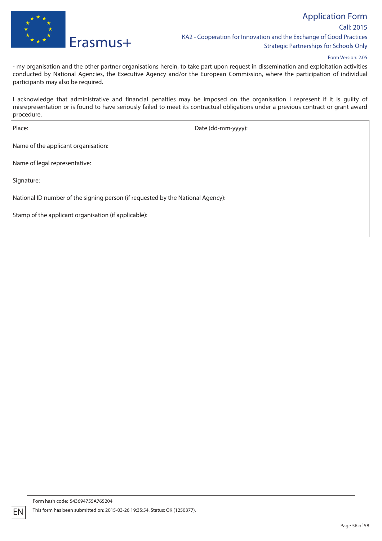

#### Form Version: 2.05

- my organisation and the other partner organisations herein, to take part upon request in dissemination and exploitation activities conducted by National Agencies, the Executive Agency and/or the European Commission, where the participation of individual participants may also be required.

I acknowledge that administrative and financial penalties may be imposed on the organisation I represent if it is guilty of misrepresentation or is found to have seriously failed to meet its contractual obligations under a previous contract or grant award procedure.

Place: Date (dd-mm-yyyy): Name of the applicant organisation: Name of legal representative: Signature: National ID number of the signing person (if requested by the National Agency): Stamp of the applicant organisation (if applicable):

Form hash code: 543694755A765204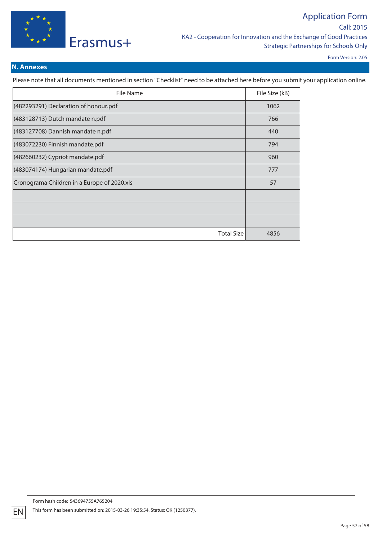

Form Version: 2.05

# **N. Annexes**

Please note that all documents mentioned in section "Checklist" need to be attached here before you submit your application online.

| File Name                                   | File Size (kB) |
|---------------------------------------------|----------------|
| (482293291) Declaration of honour.pdf       | 1062           |
| (483128713) Dutch mandate n.pdf             | 766            |
| (483127708) Dannish mandate n.pdf           | 440            |
| (483072230) Finnish mandate.pdf             | 794            |
| (482660232) Cypriot mandate.pdf             | 960            |
| (483074174) Hungarian mandate.pdf           | 777            |
| Cronograma Children in a Europe of 2020.xls | 57             |
|                                             |                |
|                                             |                |
|                                             |                |
| <b>Total Size</b>                           | 4856           |

Form hash code: 543694755A765204